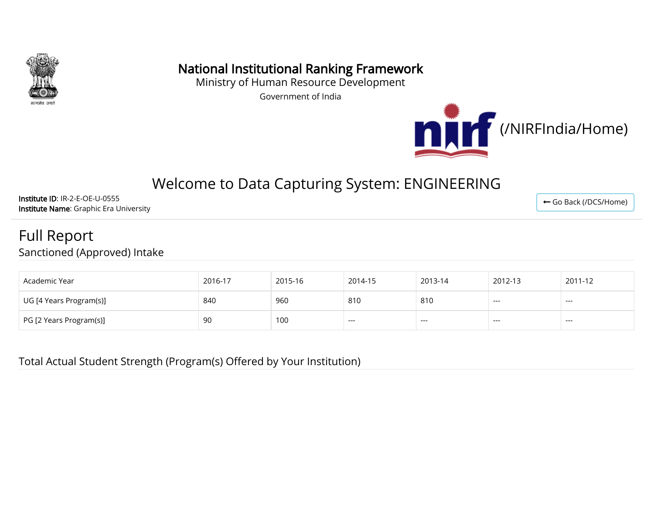

## National Institutional Ranking Framework

Ministry of Human Resource Development

Government of India



# Welcome to Data Capturing System: ENGINEERING

Institute ID: IR-2-E-OE-U-0555 Institute Name: Graphic Era University

# Full Report

Sanctioned (Approved) Intake

| Academic Year           | 2016-17 | 2015-16 | 2014-15 | 2013-14 | 2012-13 | 2011-12 |
|-------------------------|---------|---------|---------|---------|---------|---------|
| UG [4 Years Program(s)] | 840     | 960     | 810     | 810     | $---$   | ---     |
| PG [2 Years Program(s)] | 90      | 100     | $---$   | $---$   | $---$   | ---     |

Total Actual Student Strength (Program(s) Offered by Your Institution)

← [Go Back \(/DCS/Home\)](http://nirfweb.cloudapp.net/DCS/Home)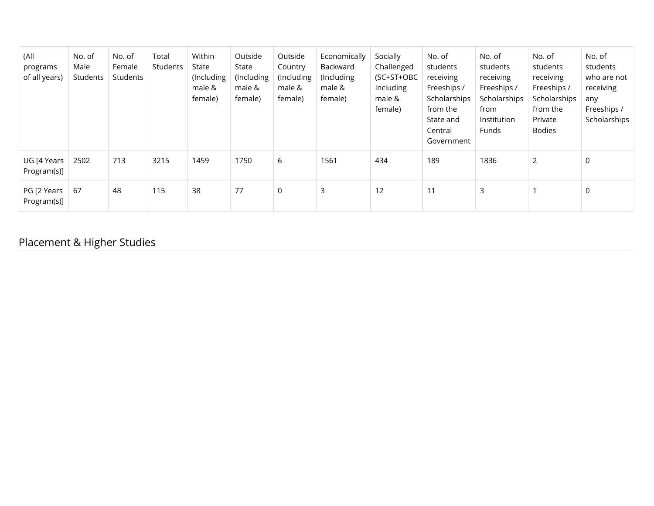| (All<br>programs<br>of all years) | No. of<br>Male<br>Students | No. of<br>Female<br>Students | Total<br><b>Students</b> | Within<br>State<br>(Including<br>male &<br>female) | Outside<br>State<br>(Including<br>male &<br>female) | Outside<br>Country<br>(Including<br>male &<br>female) | Economically<br>Backward<br>(Including)<br>male &<br>female) | Socially<br>Challenged<br>(SC+ST+OBC<br>Including<br>male &<br>female) | No. of<br>students<br>receiving<br>Freeships /<br>Scholarships<br>from the<br>State and<br>Central<br>Government | No. of<br>students<br>receiving<br>Freeships /<br>Scholarships<br>from<br>Institution<br>Funds | No. of<br>students<br>receiving<br>Freeships /<br>Scholarships<br>from the<br>Private<br><b>Bodies</b> | No. of<br>students<br>who are not<br>receiving<br>any<br>Freeships /<br>Scholarships |
|-----------------------------------|----------------------------|------------------------------|--------------------------|----------------------------------------------------|-----------------------------------------------------|-------------------------------------------------------|--------------------------------------------------------------|------------------------------------------------------------------------|------------------------------------------------------------------------------------------------------------------|------------------------------------------------------------------------------------------------|--------------------------------------------------------------------------------------------------------|--------------------------------------------------------------------------------------|
| UG [4 Years<br>Program(s)]        | 2502                       | 713                          | 3215                     | 1459                                               | 1750                                                | 6                                                     | 1561                                                         | 434                                                                    | 189                                                                                                              | 1836                                                                                           | $\overline{2}$                                                                                         | $\mathbf 0$                                                                          |
| PG [2 Years<br>Program(s)]        | 67                         | 48                           | 115                      | 38                                                 | 77                                                  | 0                                                     | 3                                                            | 12                                                                     | 11                                                                                                               | 3                                                                                              |                                                                                                        | $\mathbf 0$                                                                          |

#### Placement & Higher Studies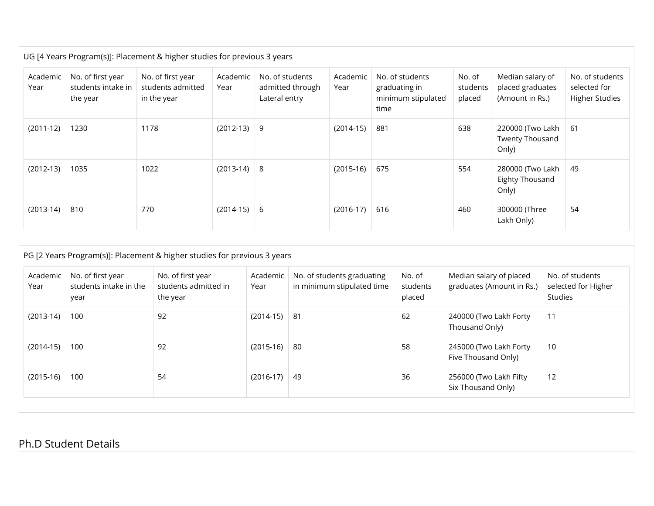| Academic<br>Year | No. of first year<br>students intake in<br>the year | No. of first year<br>students admitted<br>in the year                                                                             | Academic<br>Year | No. of students<br>Lateral entry | admitted through | Academic<br>Year<br>time                                 |     | No. of students<br>graduating in<br>minimum stipulated | No. of<br>students<br>placed                  | Median salary of<br>placed graduates<br>(Amount in Rs.) |                | No. of students<br>selected for<br><b>Higher Studies</b> |
|------------------|-----------------------------------------------------|-----------------------------------------------------------------------------------------------------------------------------------|------------------|----------------------------------|------------------|----------------------------------------------------------|-----|--------------------------------------------------------|-----------------------------------------------|---------------------------------------------------------|----------------|----------------------------------------------------------|
| $(2011-12)$      | 1230                                                | 1178                                                                                                                              | $(2012-13)$      | 9                                |                  | $(2014-15)$                                              | 881 |                                                        | 638                                           | 220000 (Two Lakh<br><b>Twenty Thousand</b><br>Only)     |                | 61                                                       |
| $(2012-13)$      | 1035                                                | 1022                                                                                                                              | $(2013-14)$      | 8                                |                  | $(2015-16)$                                              | 675 |                                                        | 554                                           | 280000 (Two Lakh<br>Eighty Thousand<br>Only)            |                | 49                                                       |
| $(2013-14)$      | 810                                                 | 770                                                                                                                               | $(2014-15)$      | 6                                |                  | $(2016-17)$                                              | 616 |                                                        | 460                                           | 300000 (Three<br>Lakh Only)                             |                | 54                                                       |
| Academic<br>Year | No. of first year<br>students intake in the<br>year | PG [2 Years Program(s)]: Placement & higher studies for previous 3 years<br>No. of first year<br>students admitted in<br>the year |                  | Academic<br>Year                 |                  | No. of students graduating<br>in minimum stipulated time |     | No. of<br>students<br>placed                           | Median salary of placed                       | graduates (Amount in Rs.)                               | <b>Studies</b> | No. of students<br>selected for Higher                   |
| $(2013-14)$      | 100                                                 | 92                                                                                                                                |                  | $(2014-15)$                      | 81               |                                                          |     | 62                                                     | 240000 (Two Lakh Forty<br>Thousand Only)      |                                                         | 11             |                                                          |
| $(2014-15)$      | 100                                                 | 92                                                                                                                                |                  | $(2015-16)$                      | 80               |                                                          |     | 58                                                     | 245000 (Two Lakh Forty<br>Five Thousand Only) |                                                         | 10             |                                                          |
| $(2015-16)$      | 100                                                 | 54                                                                                                                                |                  | $(2016-17)$                      | 49               |                                                          |     | 36                                                     | 256000 (Two Lakh Fifty<br>Six Thousand Only)  |                                                         | 12             |                                                          |

#### Ph.D Student Details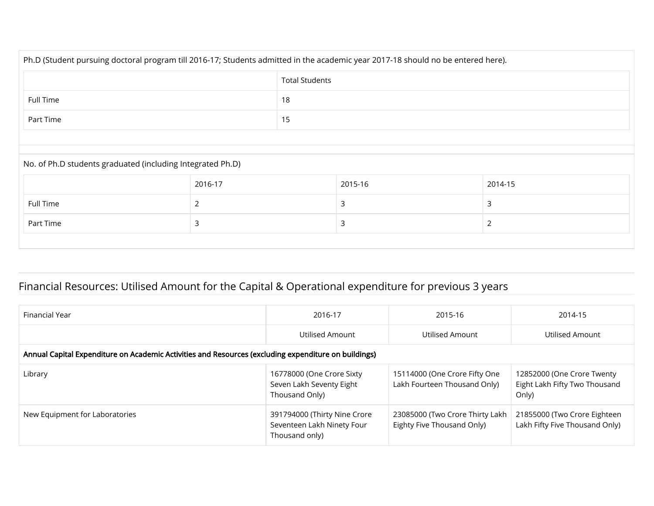| Ph.D (Student pursuing doctoral program till 2016-17; Students admitted in the academic year 2017-18 should no be entered here). |                       |  |         |         |  |  |  |  |
|----------------------------------------------------------------------------------------------------------------------------------|-----------------------|--|---------|---------|--|--|--|--|
|                                                                                                                                  | <b>Total Students</b> |  |         |         |  |  |  |  |
| Full Time                                                                                                                        | 18                    |  |         |         |  |  |  |  |
| Part Time                                                                                                                        | 15                    |  |         |         |  |  |  |  |
|                                                                                                                                  |                       |  |         |         |  |  |  |  |
| No. of Ph.D students graduated (including Integrated Ph.D)                                                                       |                       |  |         |         |  |  |  |  |
|                                                                                                                                  | 2016-17               |  | 2015-16 | 2014-15 |  |  |  |  |
| Full Time                                                                                                                        | $\overline{2}$        |  | 3       | 3       |  |  |  |  |
| Part Time                                                                                                                        | 3                     |  | 3       | 2       |  |  |  |  |
|                                                                                                                                  |                       |  |         |         |  |  |  |  |

#### Financial Resources: Utilised Amount for the Capital & Operational expenditure for previous 3 years

| Financial Year                                                                                       | 2016-17                                                                      | 2015-16                                                       | 2014-15                                                              |  |  |  |  |  |  |  |
|------------------------------------------------------------------------------------------------------|------------------------------------------------------------------------------|---------------------------------------------------------------|----------------------------------------------------------------------|--|--|--|--|--|--|--|
|                                                                                                      | Utilised Amount                                                              | Utilised Amount                                               | Utilised Amount                                                      |  |  |  |  |  |  |  |
| Annual Capital Expenditure on Academic Activities and Resources (excluding expenditure on buildings) |                                                                              |                                                               |                                                                      |  |  |  |  |  |  |  |
| Library                                                                                              | 16778000 (One Crore Sixty<br>Seven Lakh Seventy Eight<br>Thousand Only)      | 15114000 (One Crore Fifty One<br>Lakh Fourteen Thousand Only) | 12852000 (One Crore Twenty<br>Eight Lakh Fifty Two Thousand<br>Only) |  |  |  |  |  |  |  |
| New Equipment for Laboratories                                                                       | 391794000 (Thirty Nine Crore<br>Seventeen Lakh Ninety Four<br>Thousand only) | 23085000 (Two Crore Thirty Lakh<br>Eighty Five Thousand Only) | 21855000 (Two Crore Eighteen<br>Lakh Fifty Five Thousand Only)       |  |  |  |  |  |  |  |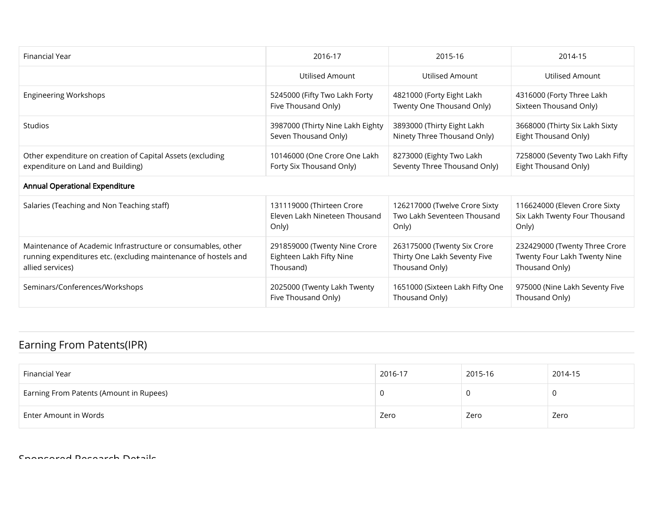| Financial Year                                                  | 2016-17                          | 2015-16                         | 2014-15                         |
|-----------------------------------------------------------------|----------------------------------|---------------------------------|---------------------------------|
|                                                                 | <b>Utilised Amount</b>           | Utilised Amount                 | Utilised Amount                 |
| <b>Engineering Workshops</b>                                    | 5245000 (Fifty Two Lakh Forty    | 4821000 (Forty Eight Lakh       | 4316000 (Forty Three Lakh       |
|                                                                 | Five Thousand Only)              | Twenty One Thousand Only)       | Sixteen Thousand Only)          |
| Studios                                                         | 3987000 (Thirty Nine Lakh Eighty | 3893000 (Thirty Eight Lakh      | 3668000 (Thirty Six Lakh Sixty  |
|                                                                 | Seven Thousand Only)             | Ninety Three Thousand Only)     | Eight Thousand Only)            |
| Other expenditure on creation of Capital Assets (excluding      | 10146000 (One Crore One Lakh     | 8273000 (Eighty Two Lakh        | 7258000 (Seventy Two Lakh Fifty |
| expenditure on Land and Building)                               | Forty Six Thousand Only)         | Seventy Three Thousand Only)    | Eight Thousand Only)            |
| <b>Annual Operational Expenditure</b>                           |                                  |                                 |                                 |
| Salaries (Teaching and Non Teaching staff)                      | 131119000 (Thirteen Crore        | 126217000 (Twelve Crore Sixty   | 116624000 (Eleven Crore Sixty   |
|                                                                 | Eleven Lakh Nineteen Thousand    | Two Lakh Seventeen Thousand     | Six Lakh Twenty Four Thousand   |
|                                                                 | Only)                            | Only)                           | Only)                           |
| Maintenance of Academic Infrastructure or consumables, other    | 291859000 (Twenty Nine Crore     | 263175000 (Twenty Six Crore     | 232429000 (Twenty Three Crore   |
| running expenditures etc. (excluding maintenance of hostels and | Eighteen Lakh Fifty Nine         | Thirty One Lakh Seventy Five    | Twenty Four Lakh Twenty Nine    |
| allied services)                                                | Thousand)                        | Thousand Only)                  | Thousand Only)                  |
| Seminars/Conferences/Workshops                                  | 2025000 (Twenty Lakh Twenty      | 1651000 (Sixteen Lakh Fifty One | 975000 (Nine Lakh Seventy Five  |
|                                                                 | Five Thousand Only)              | Thousand Only)                  | Thousand Only)                  |

### Earning From Patents(IPR)

| Financial Year                          | 2016-17 | 2015-16 | 2014-15 |
|-----------------------------------------|---------|---------|---------|
| Earning From Patents (Amount in Rupees) |         |         | U       |
| Enter Amount in Words                   | Zero    | Zero    | Zero    |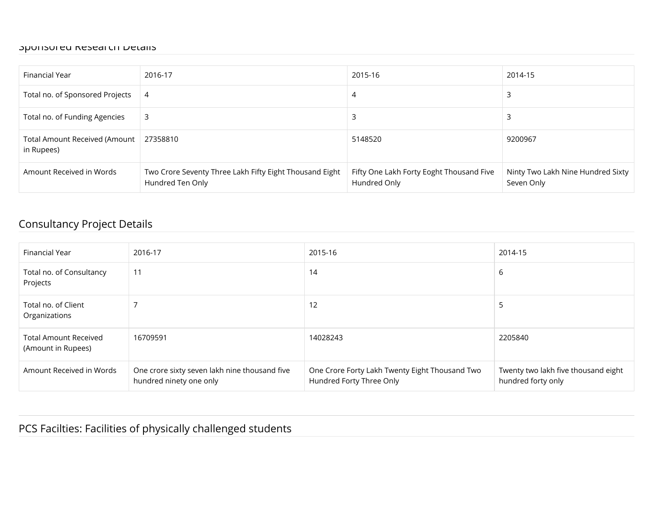#### Sponsored Research Details

| Financial Year                              | 2016-17                                                                     | 2015-16                                                  | 2014-15                                         |
|---------------------------------------------|-----------------------------------------------------------------------------|----------------------------------------------------------|-------------------------------------------------|
| Total no. of Sponsored Projects             | 4                                                                           | 4                                                        |                                                 |
| Total no. of Funding Agencies               | 3                                                                           | З                                                        |                                                 |
| Total Amount Received (Amount<br>in Rupees) | 27358810                                                                    | 5148520                                                  | 9200967                                         |
| Amount Received in Words                    | Two Crore Seventy Three Lakh Fifty Eight Thousand Eight<br>Hundred Ten Only | Fifty One Lakh Forty Eoght Thousand Five<br>Hundred Only | Ninty Two Lakh Nine Hundred Sixty<br>Seven Only |

#### Consultancy Project Details

| Financial Year                                     | 2016-17                                                                  | 2015-16                                                                    | 2014-15                                                   |
|----------------------------------------------------|--------------------------------------------------------------------------|----------------------------------------------------------------------------|-----------------------------------------------------------|
| Total no. of Consultancy<br>Projects               | 11                                                                       | 14                                                                         | 6                                                         |
| Total no. of Client<br>Organizations               |                                                                          | 12                                                                         | ל                                                         |
| <b>Total Amount Received</b><br>(Amount in Rupees) | 16709591                                                                 | 14028243                                                                   | 2205840                                                   |
| Amount Received in Words                           | One crore sixty seven lakh nine thousand five<br>hundred ninety one only | One Crore Forty Lakh Twenty Eight Thousand Two<br>Hundred Forty Three Only | Twenty two lakh five thousand eight<br>hundred forty only |

#### PCS Facilties: Facilities of physically challenged students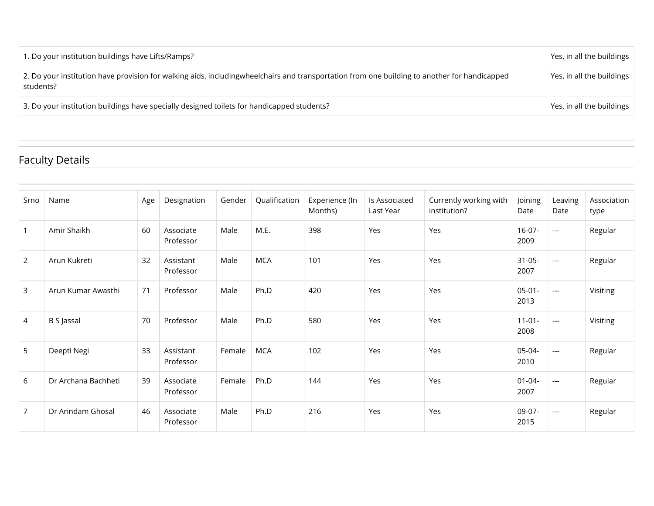| 1. Do your institution buildings have Lifts/Ramps?                                                                                                        | Yes, in all the buildings |
|-----------------------------------------------------------------------------------------------------------------------------------------------------------|---------------------------|
| 2. Do your institution have provision for walking aids, includingwheelchairs and transportation from one building to another for handicapped<br>students? | Yes, in all the buildings |
| 3. Do your institution buildings have specially designed toilets for handicapped students?                                                                | Yes, in all the buildings |

### Faculty Details

| Srno           | Name                | Age | Designation            | Gender | Qualification | Experience (In<br>Months) | Is Associated<br>Last Year | Currently working with<br>institution? | Joining<br>Date     | Leaving<br>Date          | Association<br>type |
|----------------|---------------------|-----|------------------------|--------|---------------|---------------------------|----------------------------|----------------------------------------|---------------------|--------------------------|---------------------|
| $\mathbf{1}$   | Amir Shaikh         | 60  | Associate<br>Professor | Male   | M.E.          | 398                       | Yes                        | Yes                                    | $16-07-$<br>2009    | $--$                     | Regular             |
| $\overline{2}$ | Arun Kukreti        | 32  | Assistant<br>Professor | Male   | <b>MCA</b>    | 101                       | Yes                        | Yes                                    | $31 - 05 -$<br>2007 | $\hspace{0.05cm} \ldots$ | Regular             |
| 3              | Arun Kumar Awasthi  | 71  | Professor              | Male   | Ph.D          | 420                       | Yes                        | Yes                                    | $05-01-$<br>2013    | $\overline{a}$           | Visiting            |
| $\overline{4}$ | B S Jassal          | 70  | Professor              | Male   | Ph.D          | 580                       | Yes                        | Yes                                    | $11 - 01 -$<br>2008 | $\hspace{0.05cm} \ldots$ | Visiting            |
| 5              | Deepti Negi         | 33  | Assistant<br>Professor | Female | <b>MCA</b>    | 102                       | Yes                        | Yes                                    | 05-04-<br>2010      | $\overline{a}$           | Regular             |
| 6              | Dr Archana Bachheti | 39  | Associate<br>Professor | Female | Ph.D          | 144                       | Yes                        | Yes                                    | $01 - 04 -$<br>2007 | $\hspace{0.05cm} \ldots$ | Regular             |
| $\overline{7}$ | Dr Arindam Ghosal   | 46  | Associate<br>Professor | Male   | Ph.D          | 216                       | Yes                        | Yes                                    | 09-07-<br>2015      | $---$                    | Regular             |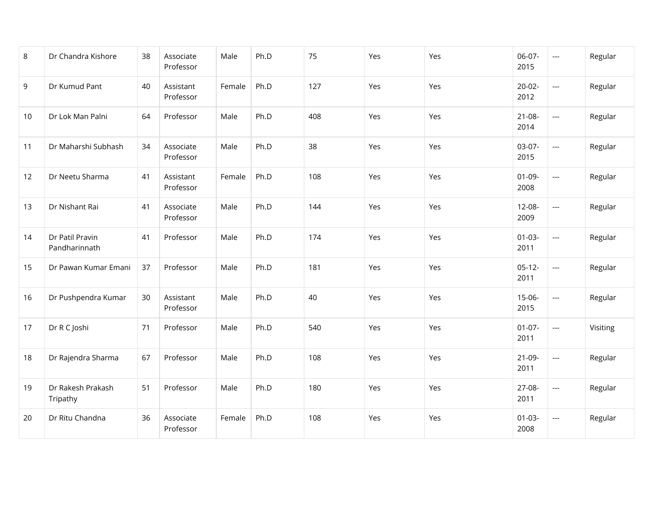| 8  | Dr Chandra Kishore               | 38 | Associate<br>Professor | Male   | Ph.D | 75  | Yes | Yes | 06-07-<br>2015      | $\cdots$                 | Regular  |
|----|----------------------------------|----|------------------------|--------|------|-----|-----|-----|---------------------|--------------------------|----------|
| 9  | Dr Kumud Pant                    | 40 | Assistant<br>Professor | Female | Ph.D | 127 | Yes | Yes | $20-02-$<br>2012    | $\overline{a}$           | Regular  |
| 10 | Dr Lok Man Palni                 | 64 | Professor              | Male   | Ph.D | 408 | Yes | Yes | $21 - 08 -$<br>2014 | $\overline{\phantom{a}}$ | Regular  |
| 11 | Dr Maharshi Subhash              | 34 | Associate<br>Professor | Male   | Ph.D | 38  | Yes | Yes | $03-07-$<br>2015    | $\overline{a}$           | Regular  |
| 12 | Dr Neetu Sharma                  | 41 | Assistant<br>Professor | Female | Ph.D | 108 | Yes | Yes | $01-09-$<br>2008    | $\overline{\phantom{a}}$ | Regular  |
| 13 | Dr Nishant Rai                   | 41 | Associate<br>Professor | Male   | Ph.D | 144 | Yes | Yes | $12-08-$<br>2009    | $\overline{a}$           | Regular  |
| 14 | Dr Patil Pravin<br>Pandharinnath | 41 | Professor              | Male   | Ph.D | 174 | Yes | Yes | $01 - 03 -$<br>2011 | $\cdots$                 | Regular  |
| 15 | Dr Pawan Kumar Emani             | 37 | Professor              | Male   | Ph.D | 181 | Yes | Yes | $05-12-$<br>2011    | $\overline{\phantom{a}}$ | Regular  |
| 16 | Dr Pushpendra Kumar              | 30 | Assistant<br>Professor | Male   | Ph.D | 40  | Yes | Yes | $15-06-$<br>2015    | $\overline{a}$           | Regular  |
| 17 | Dr R C Joshi                     | 71 | Professor              | Male   | Ph.D | 540 | Yes | Yes | $01-07-$<br>2011    | $\overline{\phantom{a}}$ | Visiting |
| 18 | Dr Rajendra Sharma               | 67 | Professor              | Male   | Ph.D | 108 | Yes | Yes | $21-09-$<br>2011    | $\overline{\phantom{a}}$ | Regular  |
| 19 | Dr Rakesh Prakash<br>Tripathy    | 51 | Professor              | Male   | Ph.D | 180 | Yes | Yes | 27-08-<br>2011      | $\overline{\phantom{a}}$ | Regular  |
| 20 | Dr Ritu Chandna                  | 36 | Associate<br>Professor | Female | Ph.D | 108 | Yes | Yes | $01 - 03 -$<br>2008 | $\overline{\phantom{a}}$ | Regular  |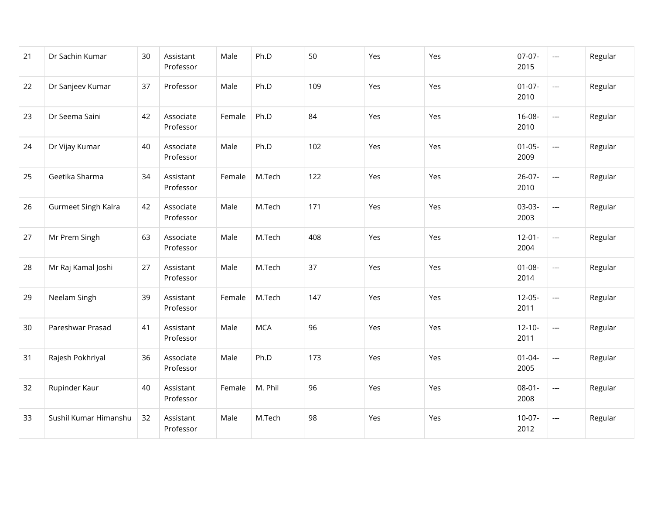| 21 | Dr Sachin Kumar       | 30 | Assistant<br>Professor | Male   | Ph.D       | 50  | Yes | Yes | $07-07-$<br>2015    | $\overline{\phantom{a}}$ | Regular |
|----|-----------------------|----|------------------------|--------|------------|-----|-----|-----|---------------------|--------------------------|---------|
| 22 | Dr Sanjeev Kumar      | 37 | Professor              | Male   | Ph.D       | 109 | Yes | Yes | $01 - 07 -$<br>2010 | $\overline{\phantom{a}}$ | Regular |
| 23 | Dr Seema Saini        | 42 | Associate<br>Professor | Female | Ph.D       | 84  | Yes | Yes | 16-08-<br>2010      | $\hspace{0.05cm}\ldots$  | Regular |
| 24 | Dr Vijay Kumar        | 40 | Associate<br>Professor | Male   | Ph.D       | 102 | Yes | Yes | $01 - 05 -$<br>2009 | $\overline{a}$           | Regular |
| 25 | Geetika Sharma        | 34 | Assistant<br>Professor | Female | M.Tech     | 122 | Yes | Yes | $26-07-$<br>2010    | $\overline{a}$           | Regular |
| 26 | Gurmeet Singh Kalra   | 42 | Associate<br>Professor | Male   | M.Tech     | 171 | Yes | Yes | 03-03-<br>2003      | $\overline{\phantom{a}}$ | Regular |
| 27 | Mr Prem Singh         | 63 | Associate<br>Professor | Male   | M.Tech     | 408 | Yes | Yes | $12 - 01 -$<br>2004 | $\overline{\phantom{a}}$ | Regular |
| 28 | Mr Raj Kamal Joshi    | 27 | Assistant<br>Professor | Male   | M.Tech     | 37  | Yes | Yes | $01 - 08 -$<br>2014 | $\overline{a}$           | Regular |
| 29 | Neelam Singh          | 39 | Assistant<br>Professor | Female | M.Tech     | 147 | Yes | Yes | $12-05-$<br>2011    | $\overline{a}$           | Regular |
| 30 | Pareshwar Prasad      | 41 | Assistant<br>Professor | Male   | <b>MCA</b> | 96  | Yes | Yes | $12 - 10 -$<br>2011 | $\overline{\phantom{a}}$ | Regular |
| 31 | Rajesh Pokhriyal      | 36 | Associate<br>Professor | Male   | Ph.D       | 173 | Yes | Yes | $01 - 04 -$<br>2005 | $\cdots$                 | Regular |
| 32 | Rupinder Kaur         | 40 | Assistant<br>Professor | Female | M. Phil    | 96  | Yes | Yes | $08 - 01 -$<br>2008 | $\overline{\phantom{a}}$ | Regular |
| 33 | Sushil Kumar Himanshu | 32 | Assistant<br>Professor | Male   | M.Tech     | 98  | Yes | Yes | $10-07-$<br>2012    | $\overline{a}$           | Regular |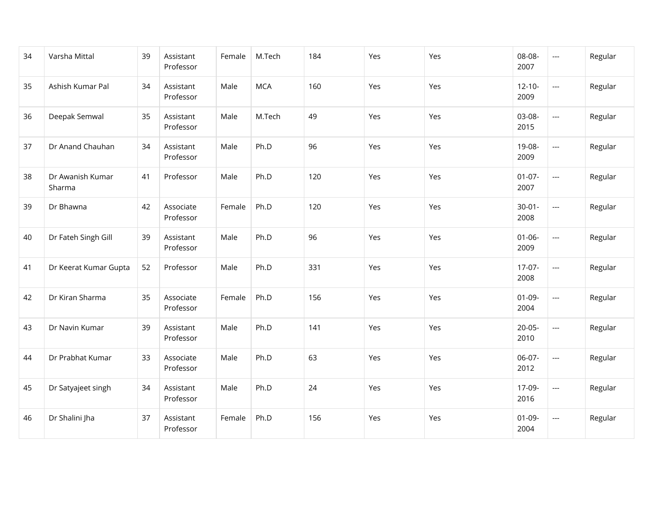| 34 | Varsha Mittal              | 39 | Assistant<br>Professor | Female | M.Tech     | 184 | Yes | Yes | 08-08-<br>2007      | $\overline{\phantom{a}}$ | Regular |
|----|----------------------------|----|------------------------|--------|------------|-----|-----|-----|---------------------|--------------------------|---------|
| 35 | Ashish Kumar Pal           | 34 | Assistant<br>Professor | Male   | <b>MCA</b> | 160 | Yes | Yes | $12 - 10 -$<br>2009 | $\overline{\phantom{a}}$ | Regular |
| 36 | Deepak Semwal              | 35 | Assistant<br>Professor | Male   | M.Tech     | 49  | Yes | Yes | 03-08-<br>2015      | $\overline{\phantom{a}}$ | Regular |
| 37 | Dr Anand Chauhan           | 34 | Assistant<br>Professor | Male   | Ph.D       | 96  | Yes | Yes | 19-08-<br>2009      | $\overline{\phantom{a}}$ | Regular |
| 38 | Dr Awanish Kumar<br>Sharma | 41 | Professor              | Male   | Ph.D       | 120 | Yes | Yes | $01-07-$<br>2007    | $\overline{a}$           | Regular |
| 39 | Dr Bhawna                  | 42 | Associate<br>Professor | Female | Ph.D       | 120 | Yes | Yes | $30 - 01 -$<br>2008 | $\overline{\phantom{a}}$ | Regular |
| 40 | Dr Fateh Singh Gill        | 39 | Assistant<br>Professor | Male   | Ph.D       | 96  | Yes | Yes | $01 - 06 -$<br>2009 | $\overline{\phantom{a}}$ | Regular |
| 41 | Dr Keerat Kumar Gupta      | 52 | Professor              | Male   | Ph.D       | 331 | Yes | Yes | $17-07-$<br>2008    | $\overline{\phantom{a}}$ | Regular |
| 42 | Dr Kiran Sharma            | 35 | Associate<br>Professor | Female | Ph.D       | 156 | Yes | Yes | $01-09-$<br>2004    | $\overline{a}$           | Regular |
| 43 | Dr Navin Kumar             | 39 | Assistant<br>Professor | Male   | Ph.D       | 141 | Yes | Yes | $20 - 05 -$<br>2010 | $\overline{a}$           | Regular |
| 44 | Dr Prabhat Kumar           | 33 | Associate<br>Professor | Male   | Ph.D       | 63  | Yes | Yes | 06-07-<br>2012      | $\hspace{0.05cm} \ldots$ | Regular |
| 45 | Dr Satyajeet singh         | 34 | Assistant<br>Professor | Male   | Ph.D       | 24  | Yes | Yes | 17-09-<br>2016      | $\overline{\phantom{a}}$ | Regular |
| 46 | Dr Shalini Jha             | 37 | Assistant<br>Professor | Female | Ph.D       | 156 | Yes | Yes | $01 - 09 -$<br>2004 | $\overline{\phantom{a}}$ | Regular |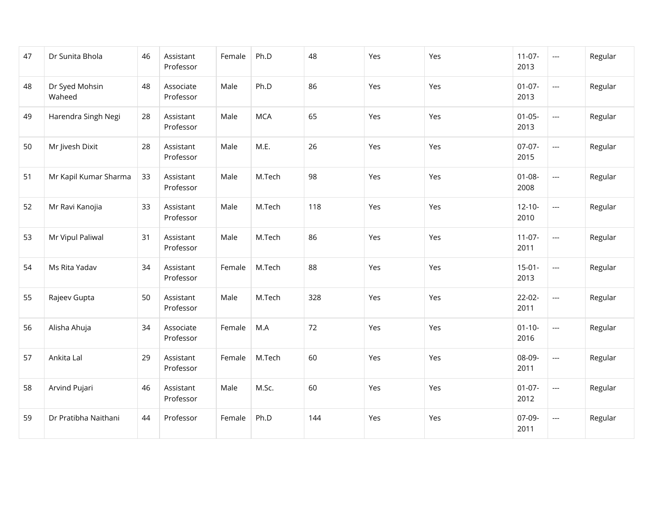| 47 | Dr Sunita Bhola          | 46 | Assistant<br>Professor | Female | Ph.D       | 48  | Yes | Yes | $11-07-$<br>2013    | $\cdots$                 | Regular |
|----|--------------------------|----|------------------------|--------|------------|-----|-----|-----|---------------------|--------------------------|---------|
| 48 | Dr Syed Mohsin<br>Waheed | 48 | Associate<br>Professor | Male   | Ph.D       | 86  | Yes | Yes | $01-07-$<br>2013    | $\overline{\phantom{a}}$ | Regular |
| 49 | Harendra Singh Negi      | 28 | Assistant<br>Professor | Male   | <b>MCA</b> | 65  | Yes | Yes | $01 - 05 -$<br>2013 | $\overline{\phantom{a}}$ | Regular |
| 50 | Mr Jivesh Dixit          | 28 | Assistant<br>Professor | Male   | M.E.       | 26  | Yes | Yes | $07-07-$<br>2015    | $\overline{\phantom{a}}$ | Regular |
| 51 | Mr Kapil Kumar Sharma    | 33 | Assistant<br>Professor | Male   | M.Tech     | 98  | Yes | Yes | $01 - 08 -$<br>2008 | $\overline{\phantom{a}}$ | Regular |
| 52 | Mr Ravi Kanojia          | 33 | Assistant<br>Professor | Male   | M.Tech     | 118 | Yes | Yes | $12 - 10 -$<br>2010 | $\overline{\phantom{a}}$ | Regular |
| 53 | Mr Vipul Paliwal         | 31 | Assistant<br>Professor | Male   | M.Tech     | 86  | Yes | Yes | $11-07-$<br>2011    | $\overline{\phantom{a}}$ | Regular |
| 54 | Ms Rita Yadav            | 34 | Assistant<br>Professor | Female | M.Tech     | 88  | Yes | Yes | $15-01-$<br>2013    | $\overline{\phantom{a}}$ | Regular |
| 55 | Rajeev Gupta             | 50 | Assistant<br>Professor | Male   | M.Tech     | 328 | Yes | Yes | $22-02-$<br>2011    | $\overline{\phantom{a}}$ | Regular |
| 56 | Alisha Ahuja             | 34 | Associate<br>Professor | Female | M.A        | 72  | Yes | Yes | $01 - 10 -$<br>2016 | $\overline{\phantom{a}}$ | Regular |
| 57 | Ankita Lal               | 29 | Assistant<br>Professor | Female | M.Tech     | 60  | Yes | Yes | 08-09-<br>2011      | $\overline{a}$           | Regular |
| 58 | Arvind Pujari            | 46 | Assistant<br>Professor | Male   | M.Sc.      | 60  | Yes | Yes | $01-07-$<br>2012    | $\overline{\phantom{a}}$ | Regular |
| 59 | Dr Pratibha Naithani     | 44 | Professor              | Female | Ph.D       | 144 | Yes | Yes | 07-09-<br>2011      | $\overline{a}$           | Regular |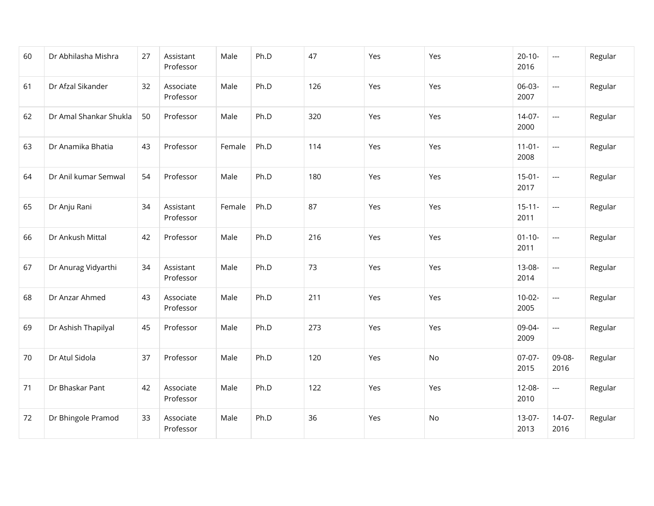| 60 | Dr Abhilasha Mishra    | 27 | Assistant<br>Professor | Male   | Ph.D | 47  | Yes | Yes | $20-10-$<br>2016    | $\hspace{0.05cm} \ldots$ | Regular |
|----|------------------------|----|------------------------|--------|------|-----|-----|-----|---------------------|--------------------------|---------|
| 61 | Dr Afzal Sikander      | 32 | Associate<br>Professor | Male   | Ph.D | 126 | Yes | Yes | 06-03-<br>2007      | $\overline{\phantom{a}}$ | Regular |
| 62 | Dr Amal Shankar Shukla | 50 | Professor              | Male   | Ph.D | 320 | Yes | Yes | $14-07-$<br>2000    | $\hspace{0.05cm} \ldots$ | Regular |
| 63 | Dr Anamika Bhatia      | 43 | Professor              | Female | Ph.D | 114 | Yes | Yes | $11-01-$<br>2008    | $\overline{\phantom{a}}$ | Regular |
| 64 | Dr Anil kumar Semwal   | 54 | Professor              | Male   | Ph.D | 180 | Yes | Yes | $15-01-$<br>2017    | $\overline{\phantom{a}}$ | Regular |
| 65 | Dr Anju Rani           | 34 | Assistant<br>Professor | Female | Ph.D | 87  | Yes | Yes | $15 - 11 -$<br>2011 | $\overline{\phantom{a}}$ | Regular |
| 66 | Dr Ankush Mittal       | 42 | Professor              | Male   | Ph.D | 216 | Yes | Yes | $01 - 10 -$<br>2011 | $\hspace{0.05cm} \ldots$ | Regular |
| 67 | Dr Anurag Vidyarthi    | 34 | Assistant<br>Professor | Male   | Ph.D | 73  | Yes | Yes | 13-08-<br>2014      | $\overline{\phantom{a}}$ | Regular |
| 68 | Dr Anzar Ahmed         | 43 | Associate<br>Professor | Male   | Ph.D | 211 | Yes | Yes | $10-02-$<br>2005    | $\overline{a}$           | Regular |
| 69 | Dr Ashish Thapilyal    | 45 | Professor              | Male   | Ph.D | 273 | Yes | Yes | 09-04-<br>2009      | $\overline{\phantom{a}}$ | Regular |
| 70 | Dr Atul Sidola         | 37 | Professor              | Male   | Ph.D | 120 | Yes | No  | $07-07-$<br>2015    | 09-08-<br>2016           | Regular |
| 71 | Dr Bhaskar Pant        | 42 | Associate<br>Professor | Male   | Ph.D | 122 | Yes | Yes | 12-08-<br>2010      | $\overline{\phantom{a}}$ | Regular |
| 72 | Dr Bhingole Pramod     | 33 | Associate<br>Professor | Male   | Ph.D | 36  | Yes | No  | 13-07-<br>2013      | 14-07-<br>2016           | Regular |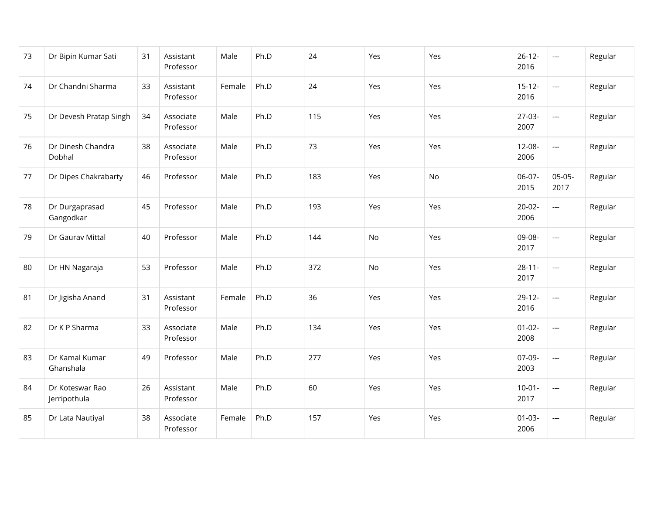| 73 | Dr Bipin Kumar Sati             | 31 | Assistant<br>Professor | Male   | Ph.D | 24  | Yes | Yes | $26 - 12 -$<br>2016 | $\hspace{0.05cm} \ldots$ | Regular |
|----|---------------------------------|----|------------------------|--------|------|-----|-----|-----|---------------------|--------------------------|---------|
| 74 | Dr Chandni Sharma               | 33 | Assistant<br>Professor | Female | Ph.D | 24  | Yes | Yes | $15-12-$<br>2016    | ---                      | Regular |
| 75 | Dr Devesh Pratap Singh          | 34 | Associate<br>Professor | Male   | Ph.D | 115 | Yes | Yes | $27-03-$<br>2007    | $\overline{a}$           | Regular |
| 76 | Dr Dinesh Chandra<br>Dobhal     | 38 | Associate<br>Professor | Male   | Ph.D | 73  | Yes | Yes | $12 - 08 -$<br>2006 | $\overline{\phantom{a}}$ | Regular |
| 77 | Dr Dipes Chakrabarty            | 46 | Professor              | Male   | Ph.D | 183 | Yes | No  | 06-07-<br>2015      | $05-05-$<br>2017         | Regular |
| 78 | Dr Durgaprasad<br>Gangodkar     | 45 | Professor              | Male   | Ph.D | 193 | Yes | Yes | $20-02-$<br>2006    | $\overline{a}$           | Regular |
| 79 | Dr Gaurav Mittal                | 40 | Professor              | Male   | Ph.D | 144 | No  | Yes | 09-08-<br>2017      | $\overline{a}$           | Regular |
| 80 | Dr HN Nagaraja                  | 53 | Professor              | Male   | Ph.D | 372 | No  | Yes | $28 - 11 -$<br>2017 | $\overline{a}$           | Regular |
| 81 | Dr Jigisha Anand                | 31 | Assistant<br>Professor | Female | Ph.D | 36  | Yes | Yes | $29-12-$<br>2016    | $\overline{\phantom{a}}$ | Regular |
| 82 | Dr K P Sharma                   | 33 | Associate<br>Professor | Male   | Ph.D | 134 | Yes | Yes | $01 - 02 -$<br>2008 | $\overline{\phantom{a}}$ | Regular |
| 83 | Dr Kamal Kumar<br>Ghanshala     | 49 | Professor              | Male   | Ph.D | 277 | Yes | Yes | 07-09-<br>2003      | $\overline{\phantom{a}}$ | Regular |
| 84 | Dr Koteswar Rao<br>Jerripothula | 26 | Assistant<br>Professor | Male   | Ph.D | 60  | Yes | Yes | $10-01 -$<br>2017   | $\overline{\phantom{a}}$ | Regular |
| 85 | Dr Lata Nautiyal                | 38 | Associate<br>Professor | Female | Ph.D | 157 | Yes | Yes | $01 - 03 -$<br>2006 | $\overline{a}$           | Regular |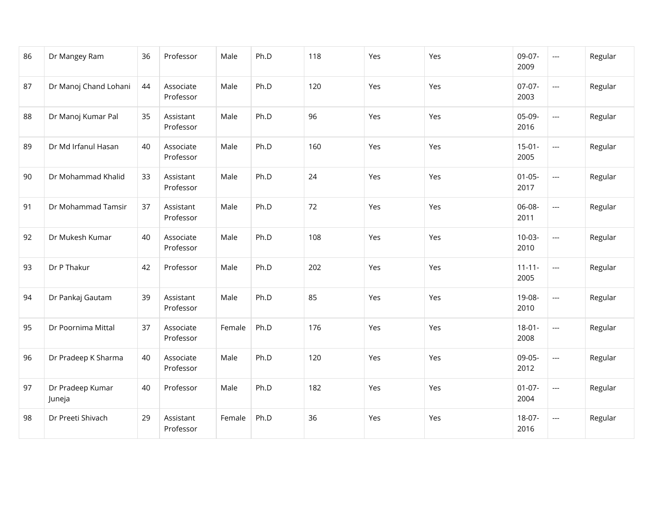| 86 | Dr Mangey Ram              | 36 | Professor              | Male   | Ph.D | 118 | Yes | Yes | 09-07-<br>2009      | $\overline{a}$           | Regular |
|----|----------------------------|----|------------------------|--------|------|-----|-----|-----|---------------------|--------------------------|---------|
| 87 | Dr Manoj Chand Lohani      | 44 | Associate<br>Professor | Male   | Ph.D | 120 | Yes | Yes | $07-07-$<br>2003    | $\overline{a}$           | Regular |
| 88 | Dr Manoj Kumar Pal         | 35 | Assistant<br>Professor | Male   | Ph.D | 96  | Yes | Yes | 05-09-<br>2016      | $\overline{\phantom{a}}$ | Regular |
| 89 | Dr Md Irfanul Hasan        | 40 | Associate<br>Professor | Male   | Ph.D | 160 | Yes | Yes | $15-01-$<br>2005    | $\overline{\phantom{a}}$ | Regular |
| 90 | Dr Mohammad Khalid         | 33 | Assistant<br>Professor | Male   | Ph.D | 24  | Yes | Yes | $01 - 05 -$<br>2017 | $\overline{\phantom{a}}$ | Regular |
| 91 | Dr Mohammad Tamsir         | 37 | Assistant<br>Professor | Male   | Ph.D | 72  | Yes | Yes | 06-08-<br>2011      | $\overline{a}$           | Regular |
| 92 | Dr Mukesh Kumar            | 40 | Associate<br>Professor | Male   | Ph.D | 108 | Yes | Yes | $10-03-$<br>2010    | $\hspace{0.05cm} \ldots$ | Regular |
| 93 | Dr P Thakur                | 42 | Professor              | Male   | Ph.D | 202 | Yes | Yes | $11 - 11 -$<br>2005 | $\overline{\phantom{a}}$ | Regular |
| 94 | Dr Pankaj Gautam           | 39 | Assistant<br>Professor | Male   | Ph.D | 85  | Yes | Yes | 19-08-<br>2010      | $\overline{a}$           | Regular |
| 95 | Dr Poornima Mittal         | 37 | Associate<br>Professor | Female | Ph.D | 176 | Yes | Yes | $18 - 01 -$<br>2008 | $\overline{\phantom{a}}$ | Regular |
| 96 | Dr Pradeep K Sharma        | 40 | Associate<br>Professor | Male   | Ph.D | 120 | Yes | Yes | 09-05-<br>2012      | $\overline{\phantom{a}}$ | Regular |
| 97 | Dr Pradeep Kumar<br>Juneja | 40 | Professor              | Male   | Ph.D | 182 | Yes | Yes | $01-07-$<br>2004    | $\overline{\phantom{a}}$ | Regular |
| 98 | Dr Preeti Shivach          | 29 | Assistant<br>Professor | Female | Ph.D | 36  | Yes | Yes | 18-07-<br>2016      | $\overline{a}$           | Regular |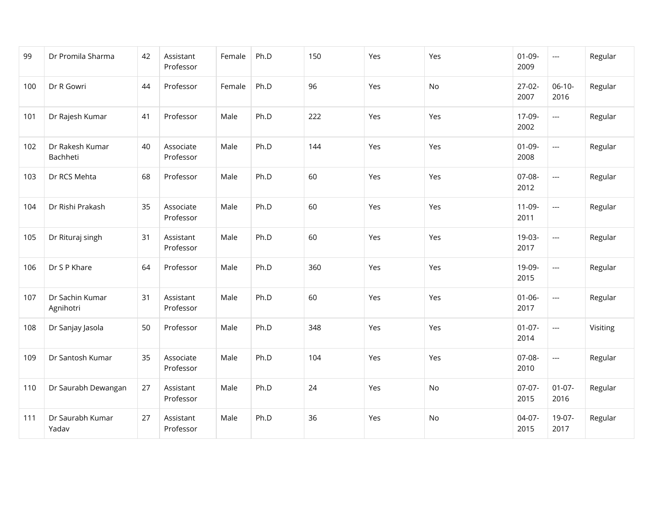| 99  | Dr Promila Sharma            | 42 | Assistant<br>Professor | Female | Ph.D | 150 | Yes | Yes | $01-09-$<br>2009    | $\hspace{0.05cm} \ldots$ | Regular  |
|-----|------------------------------|----|------------------------|--------|------|-----|-----|-----|---------------------|--------------------------|----------|
| 100 | Dr R Gowri                   | 44 | Professor              | Female | Ph.D | 96  | Yes | No  | $27-02-$<br>2007    | $06-10-$<br>2016         | Regular  |
| 101 | Dr Rajesh Kumar              | 41 | Professor              | Male   | Ph.D | 222 | Yes | Yes | 17-09-<br>2002      | $\overline{\phantom{a}}$ | Regular  |
| 102 | Dr Rakesh Kumar<br>Bachheti  | 40 | Associate<br>Professor | Male   | Ph.D | 144 | Yes | Yes | $01-09-$<br>2008    | $\overline{\phantom{a}}$ | Regular  |
| 103 | Dr RCS Mehta                 | 68 | Professor              | Male   | Ph.D | 60  | Yes | Yes | 07-08-<br>2012      | $\overline{a}$           | Regular  |
| 104 | Dr Rishi Prakash             | 35 | Associate<br>Professor | Male   | Ph.D | 60  | Yes | Yes | $11-09-$<br>2011    | $\overline{\phantom{a}}$ | Regular  |
| 105 | Dr Rituraj singh             | 31 | Assistant<br>Professor | Male   | Ph.D | 60  | Yes | Yes | 19-03-<br>2017      | $\overline{a}$           | Regular  |
| 106 | Dr S P Khare                 | 64 | Professor              | Male   | Ph.D | 360 | Yes | Yes | 19-09-<br>2015      | $\overline{a}$           | Regular  |
| 107 | Dr Sachin Kumar<br>Agnihotri | 31 | Assistant<br>Professor | Male   | Ph.D | 60  | Yes | Yes | $01 - 06 -$<br>2017 | $\overline{a}$           | Regular  |
| 108 | Dr Sanjay Jasola             | 50 | Professor              | Male   | Ph.D | 348 | Yes | Yes | $01-07-$<br>2014    | $\overline{a}$           | Visiting |
| 109 | Dr Santosh Kumar             | 35 | Associate<br>Professor | Male   | Ph.D | 104 | Yes | Yes | 07-08-<br>2010      | ---                      | Regular  |
| 110 | Dr Saurabh Dewangan          | 27 | Assistant<br>Professor | Male   | Ph.D | 24  | Yes | No  | $07-07-$<br>2015    | $01-07-$<br>2016         | Regular  |
| 111 | Dr Saurabh Kumar<br>Yadav    | 27 | Assistant<br>Professor | Male   | Ph.D | 36  | Yes | No  | $04-07-$<br>2015    | 19-07-<br>2017           | Regular  |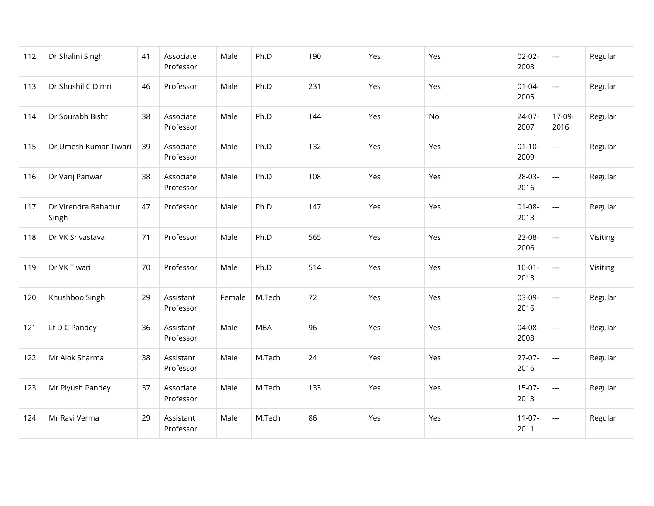| 112 | Dr Shalini Singh             | 41 | Associate<br>Professor | Male   | Ph.D       | 190 | Yes | Yes | $02 - 02 -$<br>2003 | ---                      | Regular  |
|-----|------------------------------|----|------------------------|--------|------------|-----|-----|-----|---------------------|--------------------------|----------|
| 113 | Dr Shushil C Dimri           | 46 | Professor              | Male   | Ph.D       | 231 | Yes | Yes | $01 - 04 -$<br>2005 | $\overline{\phantom{a}}$ | Regular  |
| 114 | Dr Sourabh Bisht             | 38 | Associate<br>Professor | Male   | Ph.D       | 144 | Yes | No  | 24-07-<br>2007      | 17-09-<br>2016           | Regular  |
| 115 | Dr Umesh Kumar Tiwari        | 39 | Associate<br>Professor | Male   | Ph.D       | 132 | Yes | Yes | $01 - 10 -$<br>2009 | $\overline{\phantom{a}}$ | Regular  |
| 116 | Dr Varij Panwar              | 38 | Associate<br>Professor | Male   | Ph.D       | 108 | Yes | Yes | 28-03-<br>2016      | $\overline{\phantom{a}}$ | Regular  |
| 117 | Dr Virendra Bahadur<br>Singh | 47 | Professor              | Male   | Ph.D       | 147 | Yes | Yes | $01 - 08 -$<br>2013 | $\overline{\phantom{a}}$ | Regular  |
| 118 | Dr VK Srivastava             | 71 | Professor              | Male   | Ph.D       | 565 | Yes | Yes | 23-08-<br>2006      | $\overline{\phantom{a}}$ | Visiting |
| 119 | Dr VK Tiwari                 | 70 | Professor              | Male   | Ph.D       | 514 | Yes | Yes | $10-01 -$<br>2013   | $\overline{\phantom{a}}$ | Visiting |
| 120 | Khushboo Singh               | 29 | Assistant<br>Professor | Female | M.Tech     | 72  | Yes | Yes | 03-09-<br>2016      | $\overline{a}$           | Regular  |
| 121 | Lt D C Pandey                | 36 | Assistant<br>Professor | Male   | <b>MBA</b> | 96  | Yes | Yes | 04-08-<br>2008      | $\overline{a}$           | Regular  |
| 122 | Mr Alok Sharma               | 38 | Assistant<br>Professor | Male   | M.Tech     | 24  | Yes | Yes | $27-07-$<br>2016    | $\hspace{0.05cm}\ldots$  | Regular  |
| 123 | Mr Piyush Pandey             | 37 | Associate<br>Professor | Male   | M.Tech     | 133 | Yes | Yes | $15-07-$<br>2013    | $\overline{\phantom{a}}$ | Regular  |
| 124 | Mr Ravi Verma                | 29 | Assistant<br>Professor | Male   | M.Tech     | 86  | Yes | Yes | $11-07-$<br>2011    | $\overline{a}$           | Regular  |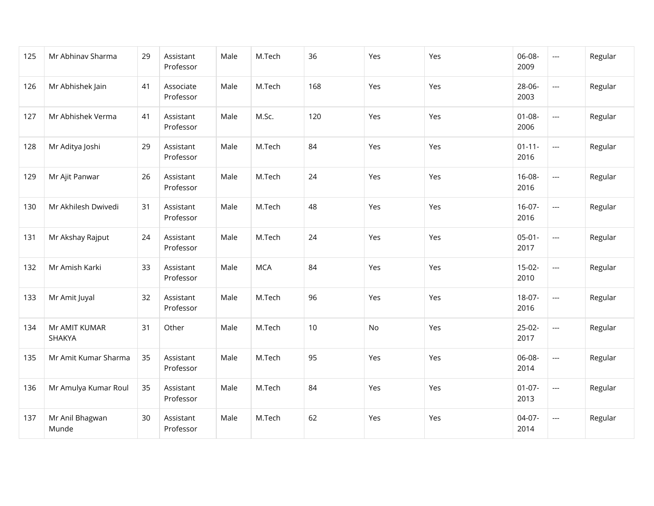| 125 | Mr Abhinav Sharma        | 29 | Assistant<br>Professor | Male | M.Tech     | 36  | Yes | Yes | 06-08-<br>2009      | $\overline{\phantom{a}}$ | Regular |
|-----|--------------------------|----|------------------------|------|------------|-----|-----|-----|---------------------|--------------------------|---------|
| 126 | Mr Abhishek Jain         | 41 | Associate<br>Professor | Male | M.Tech     | 168 | Yes | Yes | 28-06-<br>2003      | $\overline{\phantom{a}}$ | Regular |
| 127 | Mr Abhishek Verma        | 41 | Assistant<br>Professor | Male | M.Sc.      | 120 | Yes | Yes | $01 - 08 -$<br>2006 | $\overline{\phantom{a}}$ | Regular |
| 128 | Mr Aditya Joshi          | 29 | Assistant<br>Professor | Male | M.Tech     | 84  | Yes | Yes | $01 - 11 -$<br>2016 | $\overline{\phantom{a}}$ | Regular |
| 129 | Mr Ajit Panwar           | 26 | Assistant<br>Professor | Male | M.Tech     | 24  | Yes | Yes | $16 - 08 -$<br>2016 | $\overline{\phantom{a}}$ | Regular |
| 130 | Mr Akhilesh Dwivedi      | 31 | Assistant<br>Professor | Male | M.Tech     | 48  | Yes | Yes | $16-07-$<br>2016    | $\overline{\phantom{a}}$ | Regular |
| 131 | Mr Akshay Rajput         | 24 | Assistant<br>Professor | Male | M.Tech     | 24  | Yes | Yes | $05-01-$<br>2017    | $\overline{\phantom{a}}$ | Regular |
| 132 | Mr Amish Karki           | 33 | Assistant<br>Professor | Male | <b>MCA</b> | 84  | Yes | Yes | $15-02-$<br>2010    | $\overline{\phantom{a}}$ | Regular |
| 133 | Mr Amit Juyal            | 32 | Assistant<br>Professor | Male | M.Tech     | 96  | Yes | Yes | 18-07-<br>2016      | $\overline{\phantom{a}}$ | Regular |
| 134 | Mr AMIT KUMAR<br>SHAKYA  | 31 | Other                  | Male | M.Tech     | 10  | No  | Yes | $25-02-$<br>2017    | $\overline{\phantom{a}}$ | Regular |
| 135 | Mr Amit Kumar Sharma     | 35 | Assistant<br>Professor | Male | M.Tech     | 95  | Yes | Yes | 06-08-<br>2014      | $\hspace{0.05cm} \ldots$ | Regular |
| 136 | Mr Amulya Kumar Roul     | 35 | Assistant<br>Professor | Male | M.Tech     | 84  | Yes | Yes | $01-07-$<br>2013    | $\overline{\phantom{a}}$ | Regular |
| 137 | Mr Anil Bhagwan<br>Munde | 30 | Assistant<br>Professor | Male | M.Tech     | 62  | Yes | Yes | 04-07-<br>2014      | $\overline{\phantom{a}}$ | Regular |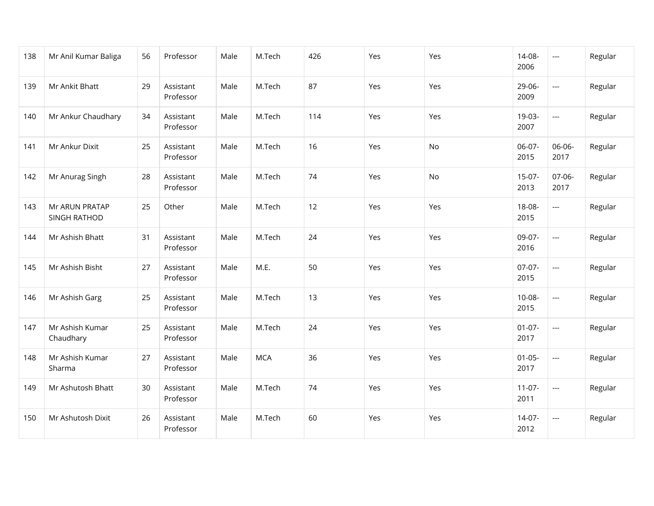| 138 | Mr Anil Kumar Baliga           | 56 | Professor              | Male | M.Tech     | 426 | Yes | Yes       | 14-08-<br>2006   | $\hspace{0.05cm} \ldots$ | Regular |
|-----|--------------------------------|----|------------------------|------|------------|-----|-----|-----------|------------------|--------------------------|---------|
| 139 | Mr Ankit Bhatt                 | 29 | Assistant<br>Professor | Male | M.Tech     | 87  | Yes | Yes       | 29-06-<br>2009   | $\overline{a}$           | Regular |
| 140 | Mr Ankur Chaudhary             | 34 | Assistant<br>Professor | Male | M.Tech     | 114 | Yes | Yes       | 19-03-<br>2007   | ---                      | Regular |
| 141 | Mr Ankur Dixit                 | 25 | Assistant<br>Professor | Male | M.Tech     | 16  | Yes | No        | 06-07-<br>2015   | 06-06-<br>2017           | Regular |
| 142 | Mr Anurag Singh                | 28 | Assistant<br>Professor | Male | M.Tech     | 74  | Yes | <b>No</b> | $15-07-$<br>2013 | $07-06-$<br>2017         | Regular |
| 143 | Mr ARUN PRATAP<br>SINGH RATHOD | 25 | Other                  | Male | M.Tech     | 12  | Yes | Yes       | 18-08-<br>2015   | ---                      | Regular |
| 144 | Mr Ashish Bhatt                | 31 | Assistant<br>Professor | Male | M.Tech     | 24  | Yes | Yes       | 09-07-<br>2016   | $\overline{a}$           | Regular |
| 145 | Mr Ashish Bisht                | 27 | Assistant<br>Professor | Male | M.E.       | 50  | Yes | Yes       | $07-07-$<br>2015 | $\overline{a}$           | Regular |
| 146 | Mr Ashish Garg                 | 25 | Assistant<br>Professor | Male | M.Tech     | 13  | Yes | Yes       | $10-08-$<br>2015 | $\overline{a}$           | Regular |
| 147 | Mr Ashish Kumar<br>Chaudhary   | 25 | Assistant<br>Professor | Male | M.Tech     | 24  | Yes | Yes       | $01-07-$<br>2017 | $\overline{\phantom{a}}$ | Regular |
| 148 | Mr Ashish Kumar<br>Sharma      | 27 | Assistant<br>Professor | Male | <b>MCA</b> | 36  | Yes | Yes       | $01-05-$<br>2017 | $\hspace{0.05cm} \ldots$ | Regular |
| 149 | Mr Ashutosh Bhatt              | 30 | Assistant<br>Professor | Male | M.Tech     | 74  | Yes | Yes       | $11-07-$<br>2011 | $\overline{\phantom{a}}$ | Regular |
| 150 | Mr Ashutosh Dixit              | 26 | Assistant<br>Professor | Male | M.Tech     | 60  | Yes | Yes       | 14-07-<br>2012   | $\overline{a}$           | Regular |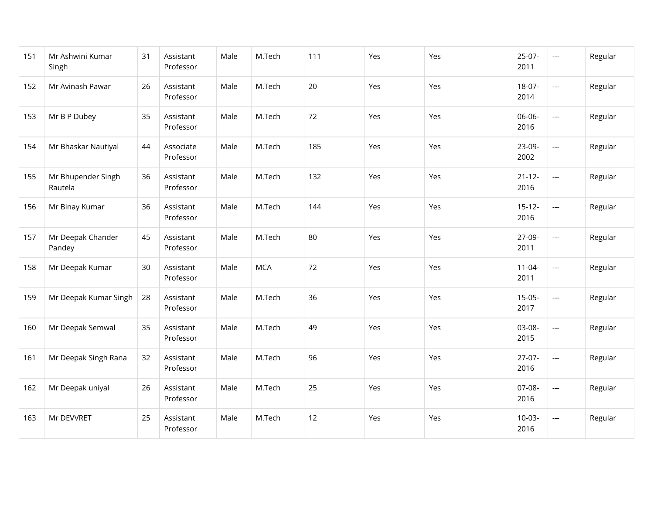| 151 | Mr Ashwini Kumar<br>Singh     | 31 | Assistant<br>Professor | Male | M.Tech     | 111 | Yes | Yes | $25-07-$<br>2011    | $\scriptstyle\cdots$     | Regular |
|-----|-------------------------------|----|------------------------|------|------------|-----|-----|-----|---------------------|--------------------------|---------|
| 152 | Mr Avinash Pawar              | 26 | Assistant<br>Professor | Male | M.Tech     | 20  | Yes | Yes | $18-07-$<br>2014    | $\overline{\phantom{a}}$ | Regular |
| 153 | Mr B P Dubey                  | 35 | Assistant<br>Professor | Male | M.Tech     | 72  | Yes | Yes | 06-06-<br>2016      | $\overline{a}$           | Regular |
| 154 | Mr Bhaskar Nautiyal           | 44 | Associate<br>Professor | Male | M.Tech     | 185 | Yes | Yes | 23-09-<br>2002      | $\overline{\phantom{a}}$ | Regular |
| 155 | Mr Bhupender Singh<br>Rautela | 36 | Assistant<br>Professor | Male | M.Tech     | 132 | Yes | Yes | $21 - 12 -$<br>2016 | $\overline{\phantom{a}}$ | Regular |
| 156 | Mr Binay Kumar                | 36 | Assistant<br>Professor | Male | M.Tech     | 144 | Yes | Yes | $15-12-$<br>2016    | $\overline{\phantom{a}}$ | Regular |
| 157 | Mr Deepak Chander<br>Pandey   | 45 | Assistant<br>Professor | Male | M.Tech     | 80  | Yes | Yes | 27-09-<br>2011      | $\hspace{0.05cm} \ldots$ | Regular |
| 158 | Mr Deepak Kumar               | 30 | Assistant<br>Professor | Male | <b>MCA</b> | 72  | Yes | Yes | $11-04-$<br>2011    | $\overline{\phantom{a}}$ | Regular |
| 159 | Mr Deepak Kumar Singh         | 28 | Assistant<br>Professor | Male | M.Tech     | 36  | Yes | Yes | $15-05-$<br>2017    | $\overline{a}$           | Regular |
| 160 | Mr Deepak Semwal              | 35 | Assistant<br>Professor | Male | M.Tech     | 49  | Yes | Yes | 03-08-<br>2015      | $\overline{\phantom{a}}$ | Regular |
| 161 | Mr Deepak Singh Rana          | 32 | Assistant<br>Professor | Male | M.Tech     | 96  | Yes | Yes | $27-07-$<br>2016    | $\overline{\phantom{a}}$ | Regular |
| 162 | Mr Deepak uniyal              | 26 | Assistant<br>Professor | Male | M.Tech     | 25  | Yes | Yes | 07-08-<br>2016      | $\overline{\phantom{a}}$ | Regular |
| 163 | Mr DEVVRET                    | 25 | Assistant<br>Professor | Male | M.Tech     | 12  | Yes | Yes | $10-03-$<br>2016    | $\overline{a}$           | Regular |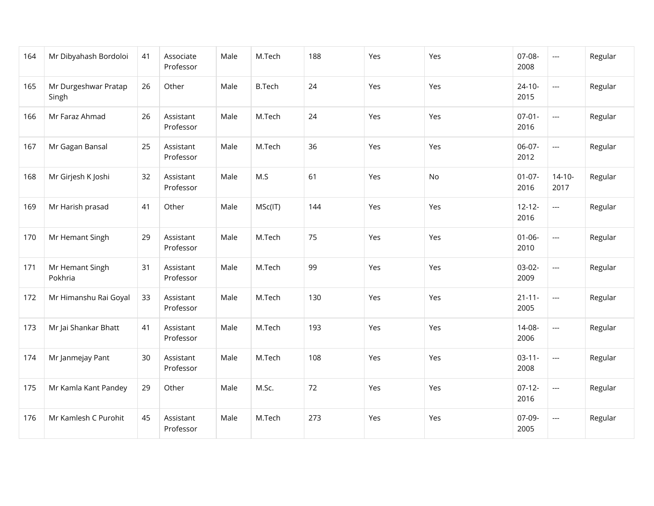| 164 | Mr Dibyahash Bordoloi         | 41 | Associate<br>Professor | Male | M.Tech        | 188 | Yes | Yes | 07-08-<br>2008      | $\hspace{0.05cm} \ldots$ | Regular |
|-----|-------------------------------|----|------------------------|------|---------------|-----|-----|-----|---------------------|--------------------------|---------|
| 165 | Mr Durgeshwar Pratap<br>Singh | 26 | Other                  | Male | <b>B.Tech</b> | 24  | Yes | Yes | $24 - 10 -$<br>2015 | $\overline{\phantom{a}}$ | Regular |
| 166 | Mr Faraz Ahmad                | 26 | Assistant<br>Professor | Male | M.Tech        | 24  | Yes | Yes | $07-01-$<br>2016    | $\overline{a}$           | Regular |
| 167 | Mr Gagan Bansal               | 25 | Assistant<br>Professor | Male | M.Tech        | 36  | Yes | Yes | 06-07-<br>2012      | ---                      | Regular |
| 168 | Mr Girjesh K Joshi            | 32 | Assistant<br>Professor | Male | M.S           | 61  | Yes | No  | $01-07-$<br>2016    | $14 - 10 -$<br>2017      | Regular |
| 169 | Mr Harish prasad              | 41 | Other                  | Male | MSc(IT)       | 144 | Yes | Yes | $12 - 12 -$<br>2016 | ---                      | Regular |
| 170 | Mr Hemant Singh               | 29 | Assistant<br>Professor | Male | M.Tech        | 75  | Yes | Yes | $01 - 06 -$<br>2010 | $\hspace{0.05cm} \ldots$ | Regular |
| 171 | Mr Hemant Singh<br>Pokhria    | 31 | Assistant<br>Professor | Male | M.Tech        | 99  | Yes | Yes | $03-02-$<br>2009    | $\overline{\phantom{a}}$ | Regular |
| 172 | Mr Himanshu Rai Goyal         | 33 | Assistant<br>Professor | Male | M.Tech        | 130 | Yes | Yes | $21 - 11 -$<br>2005 | $\overline{\phantom{a}}$ | Regular |
| 173 | Mr Jai Shankar Bhatt          | 41 | Assistant<br>Professor | Male | M.Tech        | 193 | Yes | Yes | 14-08-<br>2006      | $\overline{\phantom{a}}$ | Regular |
| 174 | Mr Janmejay Pant              | 30 | Assistant<br>Professor | Male | M.Tech        | 108 | Yes | Yes | $03 - 11 -$<br>2008 | ---                      | Regular |
| 175 | Mr Kamla Kant Pandey          | 29 | Other                  | Male | M.Sc.         | 72  | Yes | Yes | $07-12-$<br>2016    | ---                      | Regular |
| 176 | Mr Kamlesh C Purohit          | 45 | Assistant<br>Professor | Male | M.Tech        | 273 | Yes | Yes | 07-09-<br>2005      | $\overline{\phantom{a}}$ | Regular |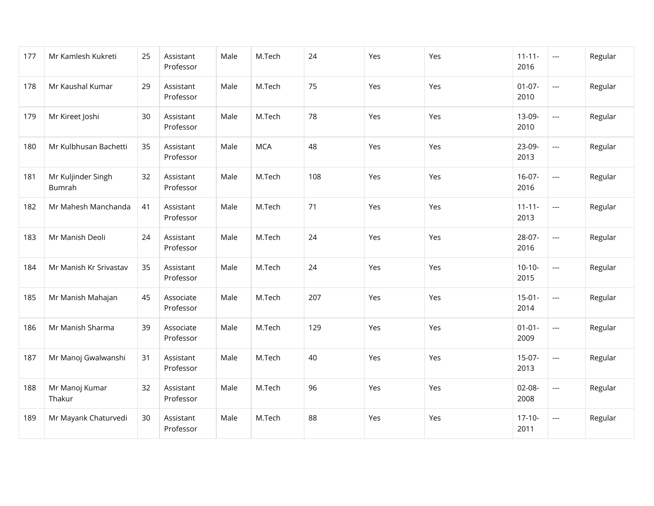| 177 | Mr Kamlesh Kukreti           | 25 | Assistant<br>Professor | Male | M.Tech     | 24  | Yes | Yes | $11 - 11 -$<br>2016 | $\hspace{0.05cm} \ldots$ | Regular |
|-----|------------------------------|----|------------------------|------|------------|-----|-----|-----|---------------------|--------------------------|---------|
| 178 | Mr Kaushal Kumar             | 29 | Assistant<br>Professor | Male | M.Tech     | 75  | Yes | Yes | $01-07-$<br>2010    | $\overline{\phantom{a}}$ | Regular |
| 179 | Mr Kireet Joshi              | 30 | Assistant<br>Professor | Male | M.Tech     | 78  | Yes | Yes | 13-09-<br>2010      | $\overline{\phantom{a}}$ | Regular |
| 180 | Mr Kulbhusan Bachetti        | 35 | Assistant<br>Professor | Male | <b>MCA</b> | 48  | Yes | Yes | 23-09-<br>2013      | $\overline{\phantom{a}}$ | Regular |
| 181 | Mr Kuljinder Singh<br>Bumrah | 32 | Assistant<br>Professor | Male | M.Tech     | 108 | Yes | Yes | $16-07-$<br>2016    | $\overline{\phantom{a}}$ | Regular |
| 182 | Mr Mahesh Manchanda          | 41 | Assistant<br>Professor | Male | M.Tech     | 71  | Yes | Yes | $11 - 11 -$<br>2013 | $\overline{\phantom{a}}$ | Regular |
| 183 | Mr Manish Deoli              | 24 | Assistant<br>Professor | Male | M.Tech     | 24  | Yes | Yes | 28-07-<br>2016      | $\cdots$                 | Regular |
| 184 | Mr Manish Kr Srivastav       | 35 | Assistant<br>Professor | Male | M.Tech     | 24  | Yes | Yes | $10-10-$<br>2015    | $\overline{\phantom{a}}$ | Regular |
| 185 | Mr Manish Mahajan            | 45 | Associate<br>Professor | Male | M.Tech     | 207 | Yes | Yes | $15-01-$<br>2014    | $\overline{a}$           | Regular |
| 186 | Mr Manish Sharma             | 39 | Associate<br>Professor | Male | M.Tech     | 129 | Yes | Yes | $01 - 01 -$<br>2009 | $\overline{\phantom{a}}$ | Regular |
| 187 | Mr Manoj Gwalwanshi          | 31 | Assistant<br>Professor | Male | M.Tech     | 40  | Yes | Yes | $15-07-$<br>2013    | $\overline{\phantom{a}}$ | Regular |
| 188 | Mr Manoj Kumar<br>Thakur     | 32 | Assistant<br>Professor | Male | M.Tech     | 96  | Yes | Yes | 02-08-<br>2008      | $\overline{\phantom{a}}$ | Regular |
| 189 | Mr Mayank Chaturvedi         | 30 | Assistant<br>Professor | Male | M.Tech     | 88  | Yes | Yes | $17-10-$<br>2011    | $\overline{\phantom{a}}$ | Regular |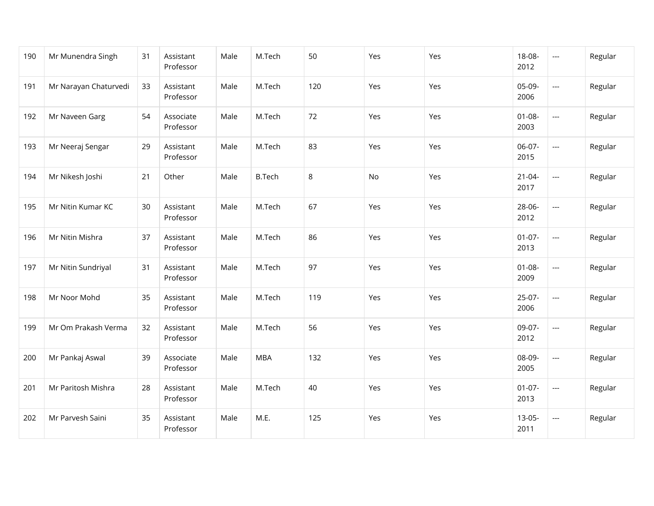| 190 | Mr Munendra Singh     | 31 | Assistant<br>Professor | Male | M.Tech        | 50  | Yes | Yes | 18-08-<br>2012      | $\overline{\phantom{a}}$ | Regular |
|-----|-----------------------|----|------------------------|------|---------------|-----|-----|-----|---------------------|--------------------------|---------|
| 191 | Mr Narayan Chaturvedi | 33 | Assistant<br>Professor | Male | M.Tech        | 120 | Yes | Yes | 05-09-<br>2006      | $\overline{\phantom{a}}$ | Regular |
| 192 | Mr Naveen Garg        | 54 | Associate<br>Professor | Male | M.Tech        | 72  | Yes | Yes | $01 - 08 -$<br>2003 | $\overline{\phantom{a}}$ | Regular |
| 193 | Mr Neeraj Sengar      | 29 | Assistant<br>Professor | Male | M.Tech        | 83  | Yes | Yes | 06-07-<br>2015      | $\overline{\phantom{a}}$ | Regular |
| 194 | Mr Nikesh Joshi       | 21 | Other                  | Male | <b>B.Tech</b> | 8   | No  | Yes | $21 - 04 -$<br>2017 | $\overline{\phantom{a}}$ | Regular |
| 195 | Mr Nitin Kumar KC     | 30 | Assistant<br>Professor | Male | M.Tech        | 67  | Yes | Yes | 28-06-<br>2012      | $\overline{a}$           | Regular |
| 196 | Mr Nitin Mishra       | 37 | Assistant<br>Professor | Male | M.Tech        | 86  | Yes | Yes | $01-07-$<br>2013    | $\overline{\phantom{a}}$ | Regular |
| 197 | Mr Nitin Sundriyal    | 31 | Assistant<br>Professor | Male | M.Tech        | 97  | Yes | Yes | $01 - 08 -$<br>2009 | $\overline{\phantom{a}}$ | Regular |
| 198 | Mr Noor Mohd          | 35 | Assistant<br>Professor | Male | M.Tech        | 119 | Yes | Yes | $25-07-$<br>2006    | $\overline{\phantom{a}}$ | Regular |
| 199 | Mr Om Prakash Verma   | 32 | Assistant<br>Professor | Male | M.Tech        | 56  | Yes | Yes | 09-07-<br>2012      | $\overline{a}$           | Regular |
| 200 | Mr Pankaj Aswal       | 39 | Associate<br>Professor | Male | <b>MBA</b>    | 132 | Yes | Yes | 08-09-<br>2005      | $\overline{\phantom{a}}$ | Regular |
| 201 | Mr Paritosh Mishra    | 28 | Assistant<br>Professor | Male | M.Tech        | 40  | Yes | Yes | $01-07-$<br>2013    | $\overline{\phantom{a}}$ | Regular |
| 202 | Mr Parvesh Saini      | 35 | Assistant<br>Professor | Male | M.E.          | 125 | Yes | Yes | $13-05-$<br>2011    | $\overline{\phantom{a}}$ | Regular |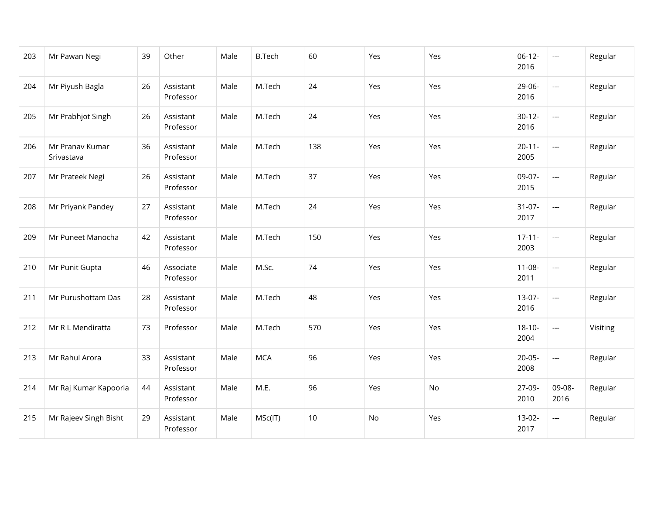| 203 | Mr Pawan Negi                 | 39 | Other                  | Male | <b>B.Tech</b> | 60  | Yes | Yes | $06-12-$<br>2016    | $\overline{\phantom{a}}$ | Regular  |
|-----|-------------------------------|----|------------------------|------|---------------|-----|-----|-----|---------------------|--------------------------|----------|
| 204 | Mr Piyush Bagla               | 26 | Assistant<br>Professor | Male | M.Tech        | 24  | Yes | Yes | 29-06-<br>2016      | $\overline{a}$           | Regular  |
| 205 | Mr Prabhjot Singh             | 26 | Assistant<br>Professor | Male | M.Tech        | 24  | Yes | Yes | $30-12-$<br>2016    | $\overline{a}$           | Regular  |
| 206 | Mr Pranav Kumar<br>Srivastava | 36 | Assistant<br>Professor | Male | M.Tech        | 138 | Yes | Yes | $20 - 11 -$<br>2005 | $\overline{\phantom{a}}$ | Regular  |
| 207 | Mr Prateek Negi               | 26 | Assistant<br>Professor | Male | M.Tech        | 37  | Yes | Yes | 09-07-<br>2015      | $\overline{a}$           | Regular  |
| 208 | Mr Priyank Pandey             | 27 | Assistant<br>Professor | Male | M.Tech        | 24  | Yes | Yes | $31-07-$<br>2017    | $\overline{a}$           | Regular  |
| 209 | Mr Puneet Manocha             | 42 | Assistant<br>Professor | Male | M.Tech        | 150 | Yes | Yes | $17 - 11 -$<br>2003 | $\overline{a}$           | Regular  |
| 210 | Mr Punit Gupta                | 46 | Associate<br>Professor | Male | M.Sc.         | 74  | Yes | Yes | $11 - 08 -$<br>2011 | $\overline{a}$           | Regular  |
| 211 | Mr Purushottam Das            | 28 | Assistant<br>Professor | Male | M.Tech        | 48  | Yes | Yes | $13-07-$<br>2016    | $\overline{a}$           | Regular  |
| 212 | Mr R L Mendiratta             | 73 | Professor              | Male | M.Tech        | 570 | Yes | Yes | $18 - 10 -$<br>2004 | $\overline{a}$           | Visiting |
| 213 | Mr Rahul Arora                | 33 | Assistant<br>Professor | Male | <b>MCA</b>    | 96  | Yes | Yes | $20 - 05 -$<br>2008 | ---                      | Regular  |
| 214 | Mr Raj Kumar Kapooria         | 44 | Assistant<br>Professor | Male | M.E.          | 96  | Yes | No  | 27-09-<br>2010      | 09-08-<br>2016           | Regular  |
| 215 | Mr Rajeev Singh Bisht         | 29 | Assistant<br>Professor | Male | MSc(IT)       | 10  | No  | Yes | $13-02-$<br>2017    | $\overline{a}$           | Regular  |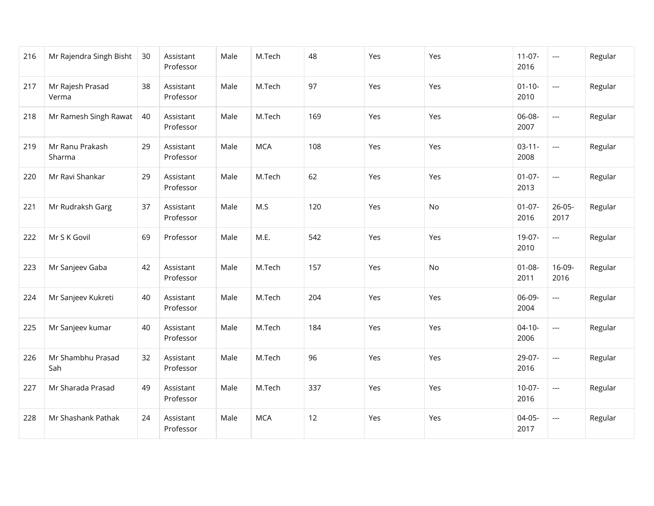| 216 | Mr Rajendra Singh Bisht   | 30 | Assistant<br>Professor | Male | M.Tech     | 48  | Yes | Yes | $11-07-$<br>2016    | $\hspace{0.05cm} \ldots$ | Regular |
|-----|---------------------------|----|------------------------|------|------------|-----|-----|-----|---------------------|--------------------------|---------|
| 217 | Mr Rajesh Prasad<br>Verma | 38 | Assistant<br>Professor | Male | M.Tech     | 97  | Yes | Yes | $01 - 10 -$<br>2010 | $\scriptstyle \cdots$    | Regular |
| 218 | Mr Ramesh Singh Rawat     | 40 | Assistant<br>Professor | Male | M.Tech     | 169 | Yes | Yes | 06-08-<br>2007      | $\overline{a}$           | Regular |
| 219 | Mr Ranu Prakash<br>Sharma | 29 | Assistant<br>Professor | Male | <b>MCA</b> | 108 | Yes | Yes | $03-11-$<br>2008    | $\overline{\phantom{a}}$ | Regular |
| 220 | Mr Ravi Shankar           | 29 | Assistant<br>Professor | Male | M.Tech     | 62  | Yes | Yes | $01-07-$<br>2013    | $\overline{\phantom{a}}$ | Regular |
| 221 | Mr Rudraksh Garg          | 37 | Assistant<br>Professor | Male | M.S        | 120 | Yes | No  | $01-07-$<br>2016    | $26 - 05 -$<br>2017      | Regular |
| 222 | Mr S K Govil              | 69 | Professor              | Male | M.E.       | 542 | Yes | Yes | 19-07-<br>2010      | $\cdots$                 | Regular |
| 223 | Mr Sanjeev Gaba           | 42 | Assistant<br>Professor | Male | M.Tech     | 157 | Yes | No  | $01 - 08 -$<br>2011 | 16-09-<br>2016           | Regular |
| 224 | Mr Sanjeev Kukreti        | 40 | Assistant<br>Professor | Male | M.Tech     | 204 | Yes | Yes | 06-09-<br>2004      | $\overline{a}$           | Regular |
| 225 | Mr Sanjeev kumar          | 40 | Assistant<br>Professor | Male | M.Tech     | 184 | Yes | Yes | $04 - 10 -$<br>2006 | $\overline{a}$           | Regular |
| 226 | Mr Shambhu Prasad<br>Sah  | 32 | Assistant<br>Professor | Male | M.Tech     | 96  | Yes | Yes | 29-07-<br>2016      | $\overline{\phantom{a}}$ | Regular |
| 227 | Mr Sharada Prasad         | 49 | Assistant<br>Professor | Male | M.Tech     | 337 | Yes | Yes | $10-07-$<br>2016    | $\overline{\phantom{a}}$ | Regular |
| 228 | Mr Shashank Pathak        | 24 | Assistant<br>Professor | Male | <b>MCA</b> | 12  | Yes | Yes | $04-05-$<br>2017    | $\overline{a}$           | Regular |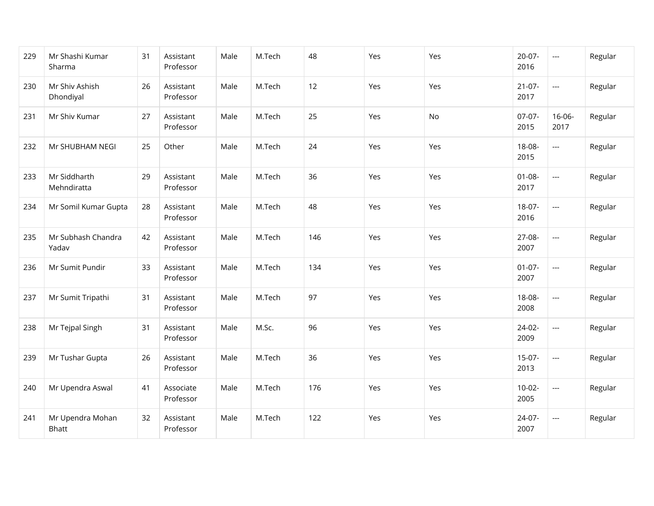| 229 | Mr Shashi Kumar<br>Sharma        | 31 | Assistant<br>Professor | Male | M.Tech | 48  | Yes | Yes | $20-07-$<br>2016    | $\hspace{0.05cm} \ldots$ | Regular |
|-----|----------------------------------|----|------------------------|------|--------|-----|-----|-----|---------------------|--------------------------|---------|
| 230 | Mr Shiv Ashish<br>Dhondiyal      | 26 | Assistant<br>Professor | Male | M.Tech | 12  | Yes | Yes | $21-07-$<br>2017    | $\scriptstyle \cdots$    | Regular |
| 231 | Mr Shiv Kumar                    | 27 | Assistant<br>Professor | Male | M.Tech | 25  | Yes | No  | $07-07-$<br>2015    | 16-06-<br>2017           | Regular |
| 232 | Mr SHUBHAM NEGI                  | 25 | Other                  | Male | M.Tech | 24  | Yes | Yes | 18-08-<br>2015      | $\overline{\phantom{a}}$ | Regular |
| 233 | Mr Siddharth<br>Mehndiratta      | 29 | Assistant<br>Professor | Male | M.Tech | 36  | Yes | Yes | $01 - 08 -$<br>2017 | $\overline{\phantom{a}}$ | Regular |
| 234 | Mr Somil Kumar Gupta             | 28 | Assistant<br>Professor | Male | M.Tech | 48  | Yes | Yes | $18-07-$<br>2016    | $\overline{\phantom{a}}$ | Regular |
| 235 | Mr Subhash Chandra<br>Yadav      | 42 | Assistant<br>Professor | Male | M.Tech | 146 | Yes | Yes | 27-08-<br>2007      | $\hspace{0.05cm} \ldots$ | Regular |
| 236 | Mr Sumit Pundir                  | 33 | Assistant<br>Professor | Male | M.Tech | 134 | Yes | Yes | $01-07-$<br>2007    | $\overline{a}$           | Regular |
| 237 | Mr Sumit Tripathi                | 31 | Assistant<br>Professor | Male | M.Tech | 97  | Yes | Yes | 18-08-<br>2008      | $\overline{a}$           | Regular |
| 238 | Mr Tejpal Singh                  | 31 | Assistant<br>Professor | Male | M.Sc.  | 96  | Yes | Yes | 24-02-<br>2009      | $\overline{a}$           | Regular |
| 239 | Mr Tushar Gupta                  | 26 | Assistant<br>Professor | Male | M.Tech | 36  | Yes | Yes | $15-07-$<br>2013    | ---                      | Regular |
| 240 | Mr Upendra Aswal                 | 41 | Associate<br>Professor | Male | M.Tech | 176 | Yes | Yes | $10-02-$<br>2005    | $\overline{\phantom{a}}$ | Regular |
| 241 | Mr Upendra Mohan<br><b>Bhatt</b> | 32 | Assistant<br>Professor | Male | M.Tech | 122 | Yes | Yes | 24-07-<br>2007      | $\overline{a}$           | Regular |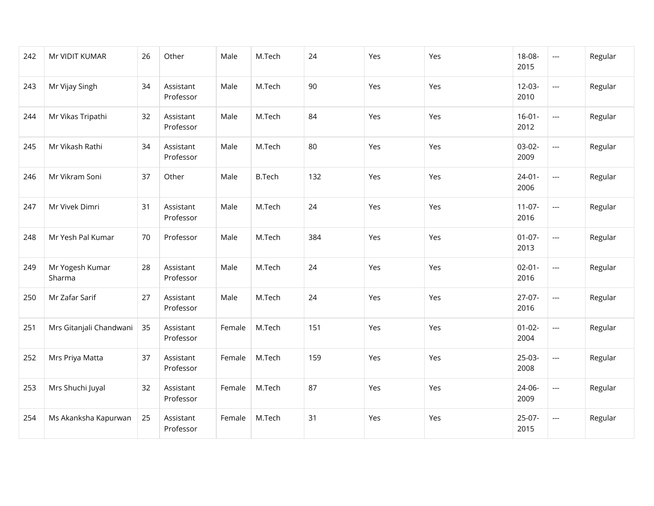| 242 | Mr VIDIT KUMAR            | 26 | Other                  | Male   | M.Tech        | 24  | Yes | Yes | 18-08-<br>2015      | $\hspace{0.05cm} \ldots$ | Regular |
|-----|---------------------------|----|------------------------|--------|---------------|-----|-----|-----|---------------------|--------------------------|---------|
| 243 | Mr Vijay Singh            | 34 | Assistant<br>Professor | Male   | M.Tech        | 90  | Yes | Yes | $12-03-$<br>2010    | $\overline{\phantom{a}}$ | Regular |
| 244 | Mr Vikas Tripathi         | 32 | Assistant<br>Professor | Male   | M.Tech        | 84  | Yes | Yes | $16 - 01 -$<br>2012 | $\overline{\phantom{a}}$ | Regular |
| 245 | Mr Vikash Rathi           | 34 | Assistant<br>Professor | Male   | M.Tech        | 80  | Yes | Yes | 03-02-<br>2009      | $\overline{\phantom{a}}$ | Regular |
| 246 | Mr Vikram Soni            | 37 | Other                  | Male   | <b>B.Tech</b> | 132 | Yes | Yes | $24-01-$<br>2006    | $\overline{\phantom{a}}$ | Regular |
| 247 | Mr Vivek Dimri            | 31 | Assistant<br>Professor | Male   | M.Tech        | 24  | Yes | Yes | $11-07-$<br>2016    | $\overline{\phantom{a}}$ | Regular |
| 248 | Mr Yesh Pal Kumar         | 70 | Professor              | Male   | M.Tech        | 384 | Yes | Yes | $01-07-$<br>2013    | $\scriptstyle\cdots$     | Regular |
| 249 | Mr Yogesh Kumar<br>Sharma | 28 | Assistant<br>Professor | Male   | M.Tech        | 24  | Yes | Yes | $02 - 01 -$<br>2016 | $\overline{\phantom{a}}$ | Regular |
| 250 | Mr Zafar Sarif            | 27 | Assistant<br>Professor | Male   | M.Tech        | 24  | Yes | Yes | $27-07-$<br>2016    | $\overline{\phantom{a}}$ | Regular |
| 251 | Mrs Gitanjali Chandwani   | 35 | Assistant<br>Professor | Female | M.Tech        | 151 | Yes | Yes | $01 - 02 -$<br>2004 | $\overline{\phantom{a}}$ | Regular |
| 252 | Mrs Priya Matta           | 37 | Assistant<br>Professor | Female | M.Tech        | 159 | Yes | Yes | 25-03-<br>2008      | $\hspace{0.05cm}\ldots$  | Regular |
| 253 | Mrs Shuchi Juyal          | 32 | Assistant<br>Professor | Female | M.Tech        | 87  | Yes | Yes | 24-06-<br>2009      | $\overline{\phantom{a}}$ | Regular |
| 254 | Ms Akanksha Kapurwan      | 25 | Assistant<br>Professor | Female | M.Tech        | 31  | Yes | Yes | $25-07-$<br>2015    | $\overline{\phantom{a}}$ | Regular |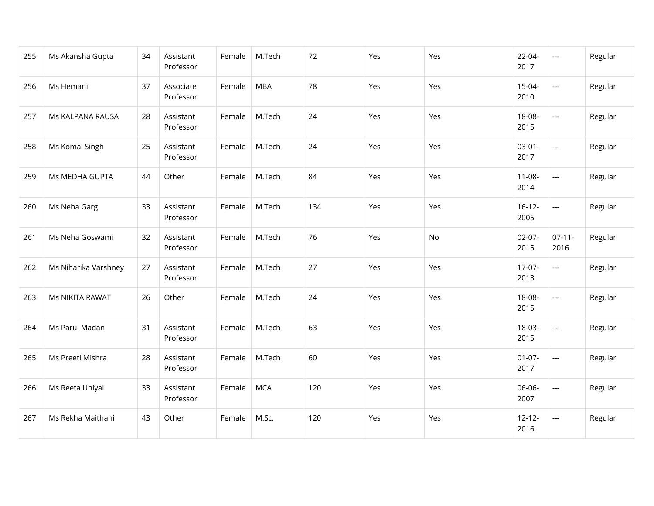| 255 | Ms Akansha Gupta     | 34 | Assistant<br>Professor | Female | M.Tech     | 72  | Yes | Yes | 22-04-<br>2017      | $\overline{\phantom{a}}$ | Regular |
|-----|----------------------|----|------------------------|--------|------------|-----|-----|-----|---------------------|--------------------------|---------|
| 256 | Ms Hemani            | 37 | Associate<br>Professor | Female | <b>MBA</b> | 78  | Yes | Yes | $15-04-$<br>2010    | $\overline{\phantom{a}}$ | Regular |
| 257 | Ms KALPANA RAUSA     | 28 | Assistant<br>Professor | Female | M.Tech     | 24  | Yes | Yes | 18-08-<br>2015      | $\overline{\phantom{a}}$ | Regular |
| 258 | Ms Komal Singh       | 25 | Assistant<br>Professor | Female | M.Tech     | 24  | Yes | Yes | $03-01-$<br>2017    | $\overline{\phantom{a}}$ | Regular |
| 259 | Ms MEDHA GUPTA       | 44 | Other                  | Female | M.Tech     | 84  | Yes | Yes | $11 - 08 -$<br>2014 | $\overline{\phantom{a}}$ | Regular |
| 260 | Ms Neha Garg         | 33 | Assistant<br>Professor | Female | M.Tech     | 134 | Yes | Yes | $16 - 12 -$<br>2005 | $\overline{\phantom{a}}$ | Regular |
| 261 | Ms Neha Goswami      | 32 | Assistant<br>Professor | Female | M.Tech     | 76  | Yes | No  | $02-07-$<br>2015    | $07-11-$<br>2016         | Regular |
| 262 | Ms Niharika Varshney | 27 | Assistant<br>Professor | Female | M.Tech     | 27  | Yes | Yes | $17-07-$<br>2013    | ---                      | Regular |
| 263 | Ms NIKITA RAWAT      | 26 | Other                  | Female | M.Tech     | 24  | Yes | Yes | 18-08-<br>2015      | $\overline{\phantom{a}}$ | Regular |
| 264 | Ms Parul Madan       | 31 | Assistant<br>Professor | Female | M.Tech     | 63  | Yes | Yes | 18-03-<br>2015      | $\overline{\phantom{a}}$ | Regular |
| 265 | Ms Preeti Mishra     | 28 | Assistant<br>Professor | Female | M.Tech     | 60  | Yes | Yes | $01-07-$<br>2017    | $\overline{\phantom{a}}$ | Regular |
| 266 | Ms Reeta Uniyal      | 33 | Assistant<br>Professor | Female | <b>MCA</b> | 120 | Yes | Yes | 06-06-<br>2007      | $\overline{\phantom{a}}$ | Regular |
| 267 | Ms Rekha Maithani    | 43 | Other                  | Female | M.Sc.      | 120 | Yes | Yes | $12 - 12 -$<br>2016 | $\overline{\phantom{a}}$ | Regular |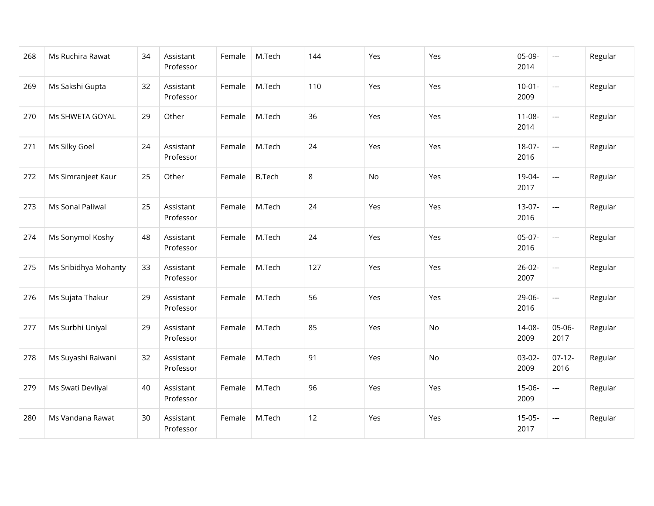| 268 | Ms Ruchira Rawat     | 34 | Assistant<br>Professor | Female | M.Tech        | 144 | Yes | Yes | 05-09-<br>2014      | $\overline{\phantom{a}}$ | Regular |
|-----|----------------------|----|------------------------|--------|---------------|-----|-----|-----|---------------------|--------------------------|---------|
| 269 | Ms Sakshi Gupta      | 32 | Assistant<br>Professor | Female | M.Tech        | 110 | Yes | Yes | $10-01 -$<br>2009   | $\overline{\phantom{a}}$ | Regular |
| 270 | Ms SHWETA GOYAL      | 29 | Other                  | Female | M.Tech        | 36  | Yes | Yes | $11 - 08 -$<br>2014 | $\overline{a}$           | Regular |
| 271 | Ms Silky Goel        | 24 | Assistant<br>Professor | Female | M.Tech        | 24  | Yes | Yes | $18-07-$<br>2016    | $\overline{\phantom{a}}$ | Regular |
| 272 | Ms Simranjeet Kaur   | 25 | Other                  | Female | <b>B.Tech</b> | 8   | No  | Yes | 19-04-<br>2017      | $\overline{a}$           | Regular |
| 273 | Ms Sonal Paliwal     | 25 | Assistant<br>Professor | Female | M.Tech        | 24  | Yes | Yes | $13-07-$<br>2016    | $\overline{a}$           | Regular |
| 274 | Ms Sonymol Koshy     | 48 | Assistant<br>Professor | Female | M.Tech        | 24  | Yes | Yes | 05-07-<br>2016      | $\overline{a}$           | Regular |
| 275 | Ms Sribidhya Mohanty | 33 | Assistant<br>Professor | Female | M.Tech        | 127 | Yes | Yes | $26-02-$<br>2007    | $\overline{a}$           | Regular |
| 276 | Ms Sujata Thakur     | 29 | Assistant<br>Professor | Female | M.Tech        | 56  | Yes | Yes | 29-06-<br>2016      | $\overline{a}$           | Regular |
| 277 | Ms Surbhi Uniyal     | 29 | Assistant<br>Professor | Female | M.Tech        | 85  | Yes | No  | 14-08-<br>2009      | 05-06-<br>2017           | Regular |
| 278 | Ms Suyashi Raiwani   | 32 | Assistant<br>Professor | Female | M.Tech        | 91  | Yes | No  | $03-02-$<br>2009    | $07-12-$<br>2016         | Regular |
| 279 | Ms Swati Devliyal    | 40 | Assistant<br>Professor | Female | M.Tech        | 96  | Yes | Yes | 15-06-<br>2009      | $\overline{\phantom{a}}$ | Regular |
| 280 | Ms Vandana Rawat     | 30 | Assistant<br>Professor | Female | M.Tech        | 12  | Yes | Yes | $15-05-$<br>2017    | $\overline{a}$           | Regular |